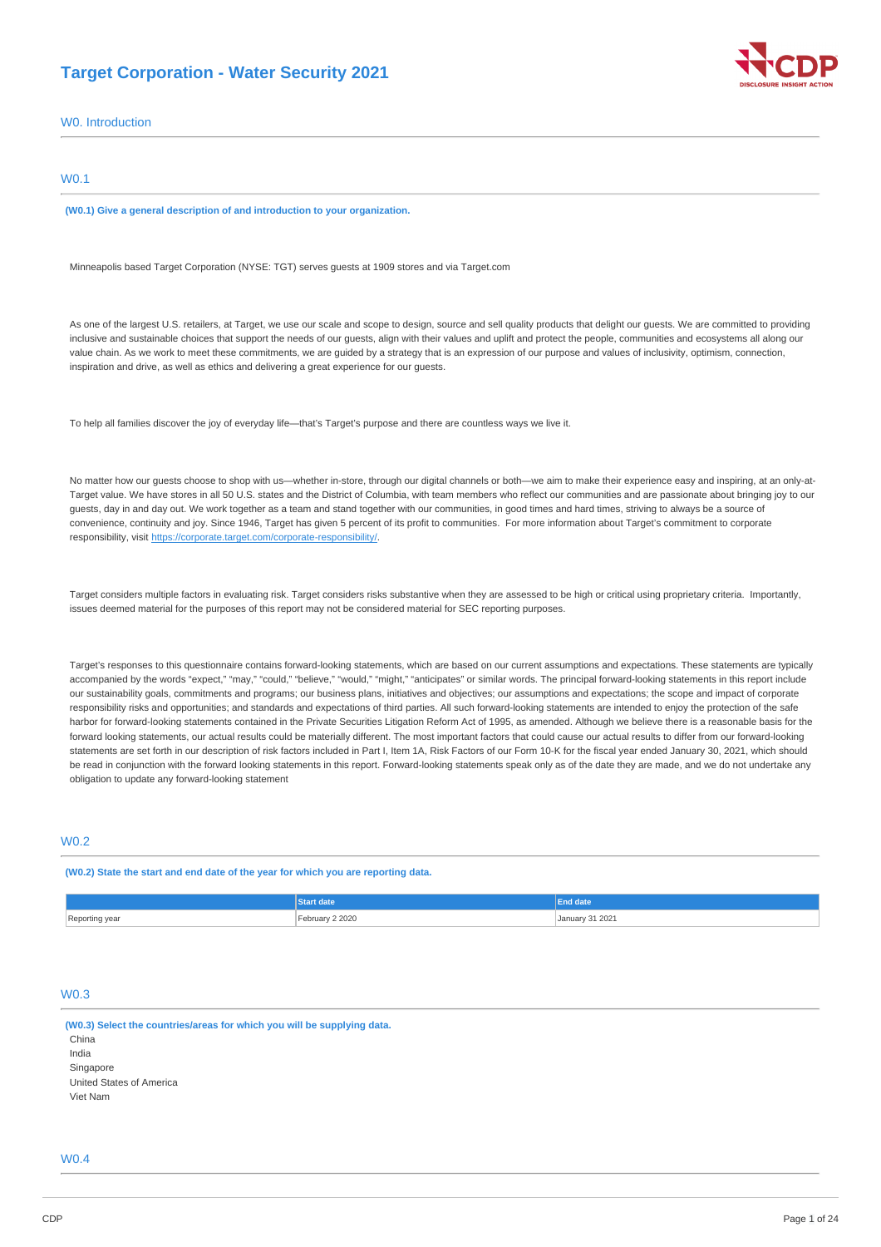# **Target Corporation - Water Security 2021**



W0. Introduction

## W0.1

**(W0.1) Give a general description of and introduction to your organization.** 

Minneapolis based Target Corporation (NYSE: TGT) serves guests at 1909 stores and via [Target.com](http://Target.com)

As one of the largest U.S. retailers, at Target, we use our scale and scope to design, source and sell quality products that delight our guests. We are committed to providing inclusive and sustainable choices that support the needs of our guests, align with their values and uplift and protect the people, communities and ecosystems all along our value chain. As we work to meet these commitments, we are guided by a strategy that is an expression of our purpose and values of inclusivity, optimism, connection, inspiration and drive, as well as ethics and delivering a great experience for our guests.

To help all families discover the joy of everyday life—that's Target's purpose and there are countless ways we live it.

No matter how our guests choose to shop with us—whether in-store, through our digital channels or both—we aim to make their experience easy and inspiring, at an only-at-Target value. We have stores in all 50 U.S. states and the District of Columbia, with team members who reflect our communities and are passionate about bringing joy to our guests, day in and day out. We work together as a team and stand together with our communities, in good times and hard times, striving to always be a source of convenience, continuity and joy. Since 1946, Target has given 5 percent of its profit to communities. For more information about Target's commitment to corporate responsibility, visit [https://corporate.target.com/corporate-responsibility/.](https://corporate.target.com/corporate-responsibility/)

Target considers multiple factors in evaluating risk. Target considers risks substantive when they are assessed to be high or critical using proprietary criteria. Importantly, issues deemed material for the purposes of this report may not be considered material for SEC reporting purposes.

Target's responses to this questionnaire contains forward-looking statements, which are based on our current assumptions and expectations. These statements are typically accompanied by the words "expect," "may," "could," "believe," "would," "might," "anticipates" or similar words. The principal forward-looking statements in this report include our sustainability goals, commitments and programs; our business plans, initiatives and objectives; our assumptions and expectations; the scope and impact of corporate responsibility risks and opportunities; and standards and expectations of third parties. All such forward-looking statements are intended to enjoy the protection of the safe harbor for forward-looking statements contained in the Private Securities Litigation Reform Act of 1995, as amended. Although we believe there is a reasonable basis for the forward looking statements, our actual results could be materially different. The most important factors that could cause our actual results to differ from our forward-looking statements are set forth in our description of risk factors included in Part I, Item 1A, Risk Factors of our Form 10-K for the fiscal year ended January 30, 2021, which should be read in conjunction with the forward looking statements in this report. Forward-looking statements speak only as of the date they are made, and we do not undertake any obligation to update any forward-looking statement

# **W0.2**

**(W0.2) State the start and end date of the year for which you are reporting data.** 

|                | <b>Start date</b> | <b>End date</b>                                    |
|----------------|-------------------|----------------------------------------------------|
| Reporting year | February 2 2020   | January 31 2021<br>the contract of the contract of |

## $W<sub>0</sub>$

**(W0.3) Select the countries/areas for which you will be supplying data.**  China India Singapore United States of America Viet Nam

## $M<sub>0</sub>$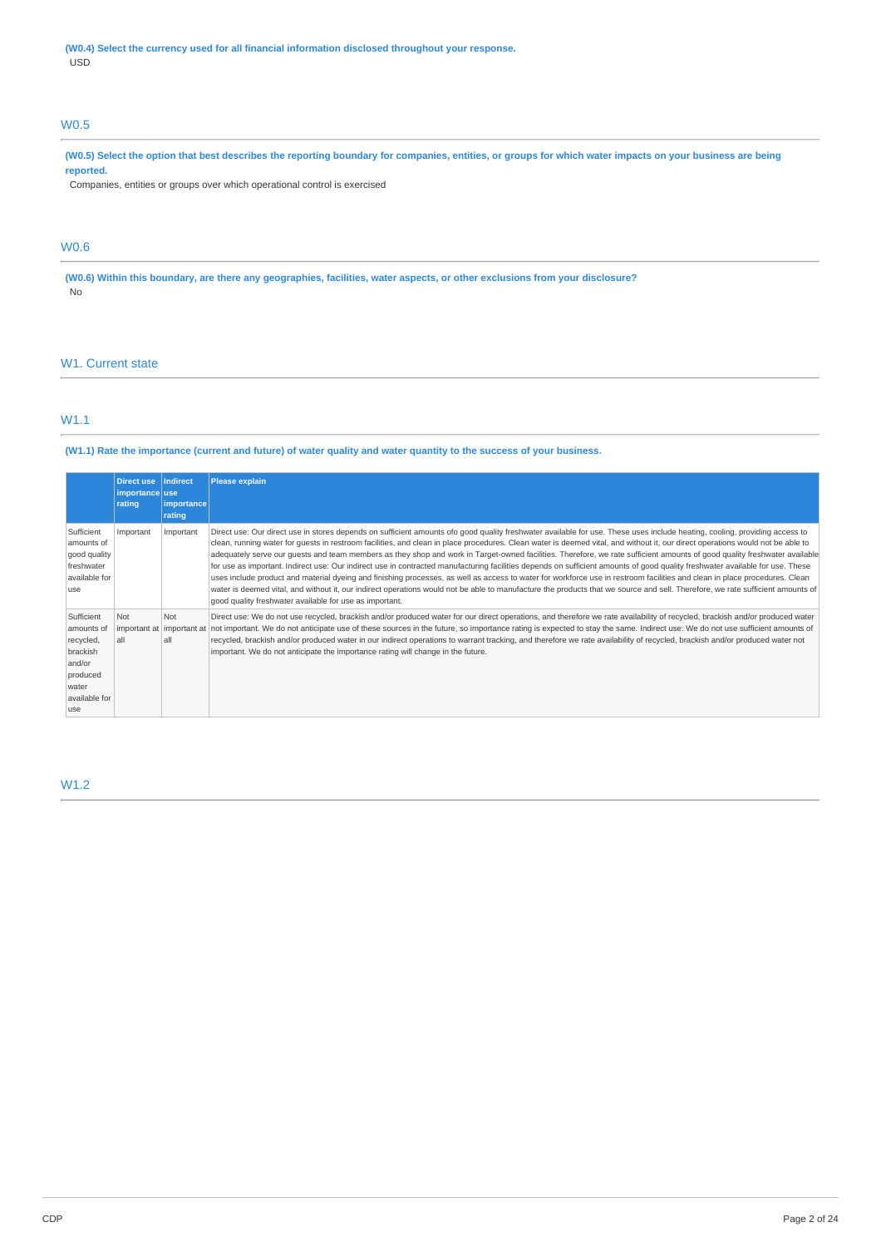**(W0.4) Select the currency used for all financial information disclosed throughout your response.**  USD

# W0.5

**(W0.5) Select the option that best describes the reporting boundary for companies, entities, or groups for which water impacts on your business are being reported.** 

Companies, entities or groups over which operational control is exercised

# W0.6

**(W0.6) Within this boundary, are there any geographies, facilities, water aspects, or other exclusions from your disclosure?**  No

# W<sub>1</sub>. Current state

# W1.1

## **(W1.1) Rate the importance (current and future) of water quality and water quantity to the success of your business.**

|                                                                                                          | <b>Direct use</b><br>importance use<br>rating | <b>Indirect</b><br><i>importance</i><br>rating | <b>Please explain</b>                                                                                                                                                                                                                                                                                                                                                                                                                                                                                                                                                                                                                                                                                                                                                                                                                                                                                                                                                                                                                                                                                                                                 |
|----------------------------------------------------------------------------------------------------------|-----------------------------------------------|------------------------------------------------|-------------------------------------------------------------------------------------------------------------------------------------------------------------------------------------------------------------------------------------------------------------------------------------------------------------------------------------------------------------------------------------------------------------------------------------------------------------------------------------------------------------------------------------------------------------------------------------------------------------------------------------------------------------------------------------------------------------------------------------------------------------------------------------------------------------------------------------------------------------------------------------------------------------------------------------------------------------------------------------------------------------------------------------------------------------------------------------------------------------------------------------------------------|
| Sufficient<br>amounts of<br>good quality<br>freshwater<br>available for<br>use                           | Important                                     | Important                                      | Direct use: Our direct use in stores depends on sufficient amounts ofo good quality freshwater available for use. These uses include heating, cooling, providing access to<br>clean, running water for quests in restroom facilities, and clean in place procedures. Clean water is deemed vital, and without it, our direct operations would not be able to<br>adequately serve our quests and team members as they shop and work in Target-owned facilities. Therefore, we rate sufficient amounts of good quality freshwater available<br>for use as important. Indirect use: Our indirect use in contracted manufacturing facilities depends on sufficient amounts of good quality freshwater available for use. These<br>uses include product and material dyeing and finishing processes, as well as access to water for workforce use in restroom facilities and clean in place procedures. Clean<br>water is deemed vital, and without it, our indirect operations would not be able to manufacture the products that we source and sell. Therefore, we rate sufficient amounts of<br>good quality freshwater available for use as important. |
| Sufficient<br>amounts of<br>recycled,<br>brackish<br>and/or<br>produced<br>water<br>available for<br>use | Not<br>important at important at<br>all       | Not<br>all                                     | Direct use: We do not use recycled, brackish and/or produced water for our direct operations, and therefore we rate availability of recycled, brackish and/or produced water<br>not important. We do not anticipate use of these sources in the future, so importance rating is expected to stay the same. Indirect use: We do not use sufficient amounts of<br>recycled, brackish and/or produced water in our indirect operations to warrant tracking, and therefore we rate availability of recycled, brackish and/or produced water not<br>important. We do not anticipate the importance rating will change in the future.                                                                                                                                                                                                                                                                                                                                                                                                                                                                                                                       |

# W1.2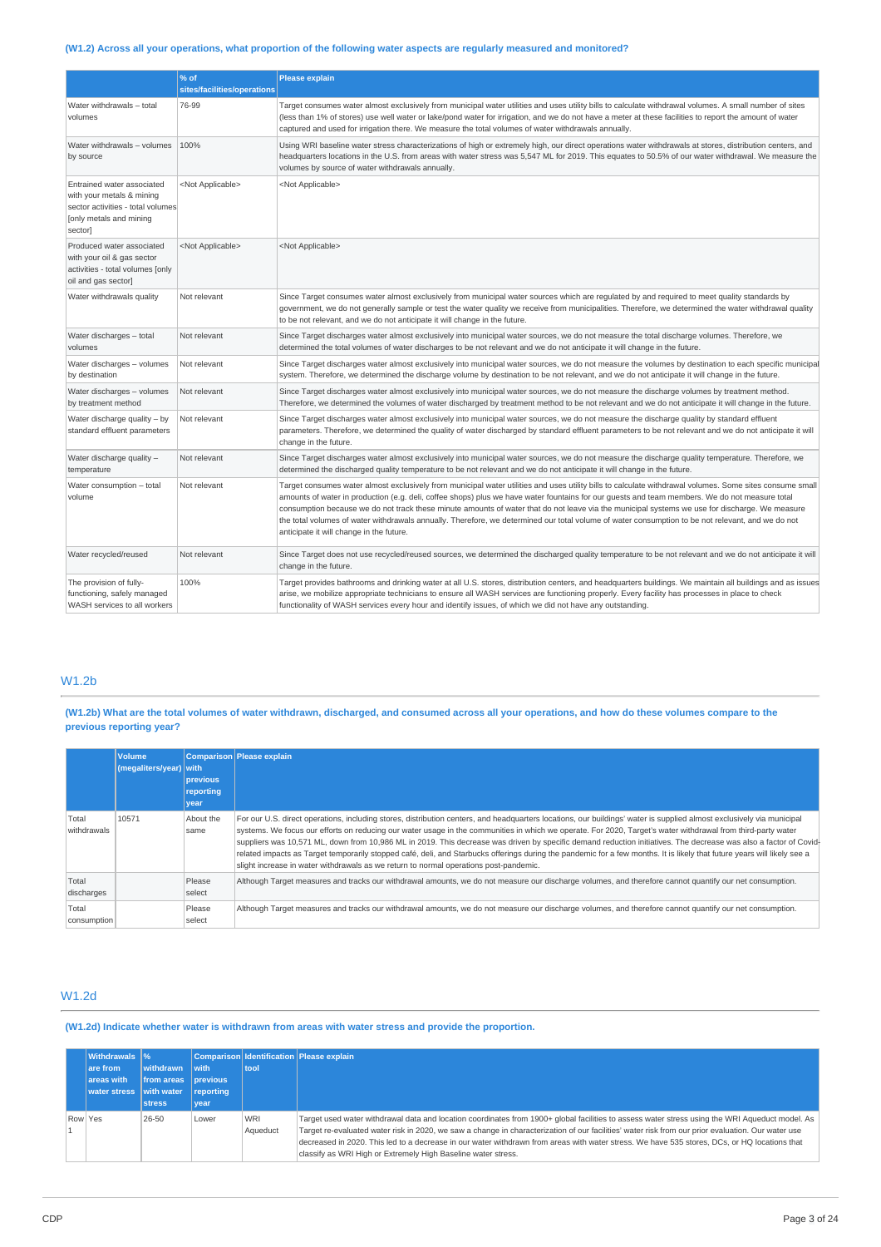# **(W1.2) Across all your operations, what proportion of the following water aspects are regularly measured and monitored?**

|                                                                                                                                    | % of<br>sites/facilities/operations | <b>Please explain</b>                                                                                                                                                                                                                                                                                                                                                                                                                                                                                                                                                                                                                                         |
|------------------------------------------------------------------------------------------------------------------------------------|-------------------------------------|---------------------------------------------------------------------------------------------------------------------------------------------------------------------------------------------------------------------------------------------------------------------------------------------------------------------------------------------------------------------------------------------------------------------------------------------------------------------------------------------------------------------------------------------------------------------------------------------------------------------------------------------------------------|
| Water withdrawals - total<br>volumes                                                                                               | 76-99                               | Target consumes water almost exclusively from municipal water utilities and uses utility bills to calculate withdrawal volumes. A small number of sites<br>(less than 1% of stores) use well water or lake/pond water for irrigation, and we do not have a meter at these facilities to report the amount of water<br>captured and used for irrigation there. We measure the total volumes of water withdrawals annually.                                                                                                                                                                                                                                     |
| Water withdrawals - volumes<br>by source                                                                                           | 100%                                | Using WRI baseline water stress characterizations of high or extremely high, our direct operations water withdrawals at stores, distribution centers, and<br>headquarters locations in the U.S. from areas with water stress was 5,547 ML for 2019. This equates to 50.5% of our water withdrawal. We measure the<br>volumes by source of water withdrawals annually.                                                                                                                                                                                                                                                                                         |
| Entrained water associated<br>with your metals & mining<br>sector activities - total volumes<br>[only metals and mining<br>sector] | <not applicable=""></not>           | <not applicable=""></not>                                                                                                                                                                                                                                                                                                                                                                                                                                                                                                                                                                                                                                     |
| Produced water associated<br>with your oil & gas sector<br>activities - total volumes [only<br>oil and gas sector]                 | <not applicable=""></not>           | <not applicable=""></not>                                                                                                                                                                                                                                                                                                                                                                                                                                                                                                                                                                                                                                     |
| Water withdrawals quality                                                                                                          | Not relevant                        | Since Target consumes water almost exclusively from municipal water sources which are regulated by and required to meet quality standards by<br>government, we do not generally sample or test the water quality we receive from municipalities. Therefore, we determined the water withdrawal quality<br>to be not relevant, and we do not anticipate it will change in the future.                                                                                                                                                                                                                                                                          |
| Water discharges - total<br>volumes                                                                                                | Not relevant                        | Since Target discharges water almost exclusively into municipal water sources, we do not measure the total discharge volumes. Therefore, we<br>determined the total volumes of water discharges to be not relevant and we do not anticipate it will change in the future.                                                                                                                                                                                                                                                                                                                                                                                     |
| Water discharges - volumes<br>by destination                                                                                       | Not relevant                        | Since Target discharges water almost exclusively into municipal water sources, we do not measure the volumes by destination to each specific municipal<br>system. Therefore, we determined the discharge volume by destination to be not relevant, and we do not anticipate it will change in the future.                                                                                                                                                                                                                                                                                                                                                     |
| Water discharges - volumes<br>by treatment method                                                                                  | Not relevant                        | Since Target discharges water almost exclusively into municipal water sources, we do not measure the discharge volumes by treatment method.<br>Therefore, we determined the volumes of water discharged by treatment method to be not relevant and we do not anticipate it will change in the future.                                                                                                                                                                                                                                                                                                                                                         |
| Water discharge quality - by<br>standard effluent parameters                                                                       | Not relevant                        | Since Target discharges water almost exclusively into municipal water sources, we do not measure the discharge quality by standard effluent<br>parameters. Therefore, we determined the quality of water discharged by standard effluent parameters to be not relevant and we do not anticipate it will<br>change in the future.                                                                                                                                                                                                                                                                                                                              |
| Water discharge quality -<br>temperature                                                                                           | Not relevant                        | Since Target discharges water almost exclusively into municipal water sources, we do not measure the discharge quality temperature. Therefore, we<br>determined the discharged quality temperature to be not relevant and we do not anticipate it will change in the future.                                                                                                                                                                                                                                                                                                                                                                                  |
| Water consumption - total<br>volume                                                                                                | Not relevant                        | Target consumes water almost exclusively from municipal water utilities and uses utility bills to calculate withdrawal volumes. Some sites consume small<br>amounts of water in production (e.g. deli, coffee shops) plus we have water fountains for our quests and team members. We do not measure total<br>consumption because we do not track these minute amounts of water that do not leave via the municipal systems we use for discharge. We measure<br>the total volumes of water withdrawals annually. Therefore, we determined our total volume of water consumption to be not relevant, and we do not<br>anticipate it will change in the future. |
| Water recycled/reused                                                                                                              | Not relevant                        | Since Target does not use recycled/reused sources, we determined the discharged quality temperature to be not relevant and we do not anticipate it will<br>change in the future.                                                                                                                                                                                                                                                                                                                                                                                                                                                                              |
| The provision of fully-<br>functioning, safely managed<br>WASH services to all workers                                             | 100%                                | Target provides bathrooms and drinking water at all U.S. stores, distribution centers, and headquarters buildings. We maintain all buildings and as issues<br>arise, we mobilize appropriate technicians to ensure all WASH services are functioning properly. Every facility has processes in place to check<br>functionality of WASH services every hour and identify issues, of which we did not have any outstanding.                                                                                                                                                                                                                                     |

# W1.2b

**(W1.2b) What are the total volumes of water withdrawn, discharged, and consumed across all your operations, and how do these volumes compare to the previous reporting year?** 

|                      | <b>Volume</b><br>(megaliters/year) with | previous<br>reporting<br>year | Comparison Please explain                                                                                                                                                                                                                                                                                                                                                                                                                                                                                                                                                                                                                                                                                                                                                       |
|----------------------|-----------------------------------------|-------------------------------|---------------------------------------------------------------------------------------------------------------------------------------------------------------------------------------------------------------------------------------------------------------------------------------------------------------------------------------------------------------------------------------------------------------------------------------------------------------------------------------------------------------------------------------------------------------------------------------------------------------------------------------------------------------------------------------------------------------------------------------------------------------------------------|
| Total<br>withdrawals | 10571                                   | About the<br>same             | For our U.S. direct operations, including stores, distribution centers, and headquarters locations, our buildings' water is supplied almost exclusively via municipal<br>systems. We focus our efforts on reducing our water usage in the communities in which we operate. For 2020, Target's water withdrawal from third-party water<br>suppliers was 10,571 ML, down from 10,986 ML in 2019. This decrease was driven by specific demand reduction initiatives. The decrease was also a factor of Covid-<br>related impacts as Target temporarily stopped café, deli, and Starbucks offerings during the pandemic for a few months. It is likely that future years will likely see a<br>slight increase in water withdrawals as we return to normal operations post-pandemic. |
| Total<br>discharges  |                                         | Please<br>select              | Although Target measures and tracks our withdrawal amounts, we do not measure our discharge volumes, and therefore cannot quantify our net consumption.                                                                                                                                                                                                                                                                                                                                                                                                                                                                                                                                                                                                                         |
| Total<br>consumption |                                         | Please<br>select              | Although Target measures and tracks our withdrawal amounts, we do not measure our discharge volumes, and therefore cannot quantify our net consumption.                                                                                                                                                                                                                                                                                                                                                                                                                                                                                                                                                                                                                         |

# W1.2d

**(W1.2d) Indicate whether water is withdrawn from areas with water stress and provide the proportion.** 

|         | Withdrawals  %<br>are from<br>areas with<br>water stress with water | withdrawn<br>from areas<br><b>stress</b> | with<br><b>previous</b><br>reporting<br>vear | tool                   | Comparison Identification Please explain                                                                                                                                                                                                                                                                                                                                                                                                                                                                               |
|---------|---------------------------------------------------------------------|------------------------------------------|----------------------------------------------|------------------------|------------------------------------------------------------------------------------------------------------------------------------------------------------------------------------------------------------------------------------------------------------------------------------------------------------------------------------------------------------------------------------------------------------------------------------------------------------------------------------------------------------------------|
| Row Yes |                                                                     | 26-50                                    | Lower                                        | <b>WRI</b><br>Aqueduct | Target used water withdrawal data and location coordinates from 1900+ global facilities to assess water stress using the WRI Aqueduct model. As<br>Target re-evaluated water risk in 2020, we saw a change in characterization of our facilities' water risk from our prior evaluation. Our water use<br>decreased in 2020. This led to a decrease in our water withdrawn from areas with water stress. We have 535 stores, DCs, or HQ locations that<br>classify as WRI High or Extremely High Baseline water stress. |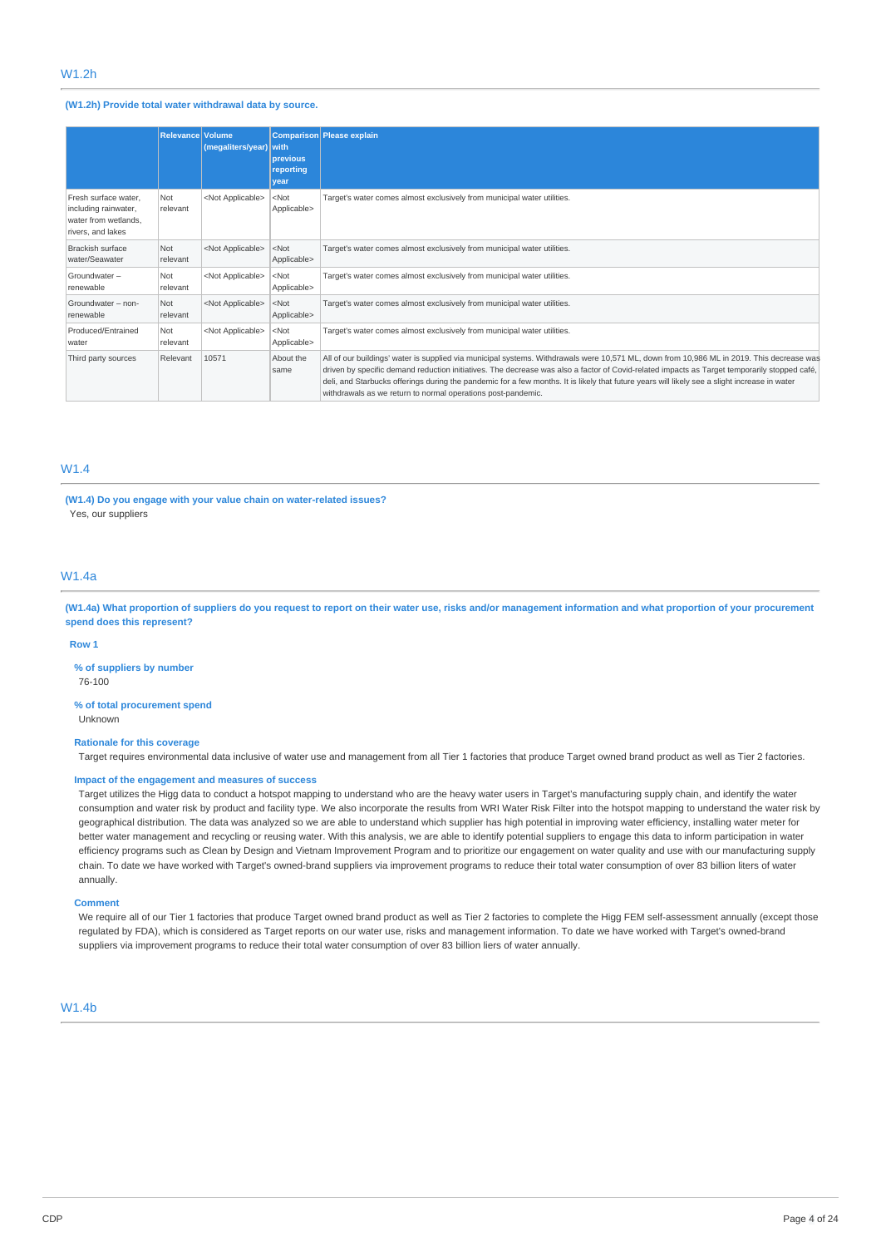## **(W1.2h) Provide total water withdrawal data by source.**

|                                                                                           | <b>Relevance Volume</b> | (megaliters/year) with    | previous<br>reporting<br>year | Comparison Please explain                                                                                                                                                                                                                                                                                                                                                                                                                                                                                  |
|-------------------------------------------------------------------------------------------|-------------------------|---------------------------|-------------------------------|------------------------------------------------------------------------------------------------------------------------------------------------------------------------------------------------------------------------------------------------------------------------------------------------------------------------------------------------------------------------------------------------------------------------------------------------------------------------------------------------------------|
| Fresh surface water.<br>including rainwater,<br>water from wetlands.<br>rivers, and lakes | Not<br>relevant         | <not applicable=""></not> | $<$ Not<br>Applicable>        | Target's water comes almost exclusively from municipal water utilities.                                                                                                                                                                                                                                                                                                                                                                                                                                    |
| Brackish surface<br>water/Seawater                                                        | Not<br>relevant         | <not applicable=""></not> | $<$ Not<br>Applicable>        | Target's water comes almost exclusively from municipal water utilities.                                                                                                                                                                                                                                                                                                                                                                                                                                    |
| Groundwater-<br>renewable                                                                 | Not<br>relevant         | <not applicable=""></not> | $<$ Not<br>Applicable>        | Target's water comes almost exclusively from municipal water utilities.                                                                                                                                                                                                                                                                                                                                                                                                                                    |
| Groundwater - non-<br>renewable                                                           | Not<br>relevant         | <not applicable=""></not> | $<$ Not<br>Applicable>        | Target's water comes almost exclusively from municipal water utilities.                                                                                                                                                                                                                                                                                                                                                                                                                                    |
| Produced/Entrained<br>water                                                               | Not<br>relevant         | <not applicable=""></not> | $<$ Not<br>Applicable>        | Target's water comes almost exclusively from municipal water utilities.                                                                                                                                                                                                                                                                                                                                                                                                                                    |
| Third party sources                                                                       | Relevant                | 10571                     | About the<br>same             | All of our buildings' water is supplied via municipal systems. Withdrawals were 10,571 ML, down from 10,986 ML in 2019. This decrease was<br>driven by specific demand reduction initiatives. The decrease was also a factor of Covid-related impacts as Target temporarily stopped café,<br>deli, and Starbucks offerings during the pandemic for a few months. It is likely that future years will likely see a slight increase in water<br>withdrawals as we return to normal operations post-pandemic. |

# W1.4

**(W1.4) Do you engage with your value chain on water-related issues?**  Yes, our suppliers

# W1.4a

**(W1.4a) What proportion of suppliers do you request to report on their water use, risks and/or management information and what proportion of your procurement spend does this represent?** 

#### **Row 1**

**% of suppliers by number** 

76-100

### **% of total procurement spend**  Unknown

#### **Rationale for this coverage**

Target requires environmental data inclusive of water use and management from all Tier 1 factories that produce Target owned brand product as well as Tier 2 factories.

#### **Impact of the engagement and measures of success**

Target utilizes the Higg data to conduct a hotspot mapping to understand who are the heavy water users in Target's manufacturing supply chain, and identify the water consumption and water risk by product and facility type. We also incorporate the results from WRI Water Risk Filter into the hotspot mapping to understand the water risk by geographical distribution. The data was analyzed so we are able to understand which supplier has high potential in improving water efficiency, installing water meter for better water management and recycling or reusing water. With this analysis, we are able to identify potential suppliers to engage this data to inform participation in water efficiency programs such as Clean by Design and Vietnam Improvement Program and to prioritize our engagement on water quality and use with our manufacturing supply chain. To date we have worked with Target's owned-brand suppliers via improvement programs to reduce their total water consumption of over 83 billion liters of water annually.

### **Comment**

We require all of our Tier 1 factories that produce Target owned brand product as well as Tier 2 factories to complete the Higg FEM self-assessment annually (except those regulated by FDA), which is considered as Target reports on our water use, risks and management information. To date we have worked with Target's owned-brand suppliers via improvement programs to reduce their total water consumption of over 83 billion liers of water annually.

## W1.4b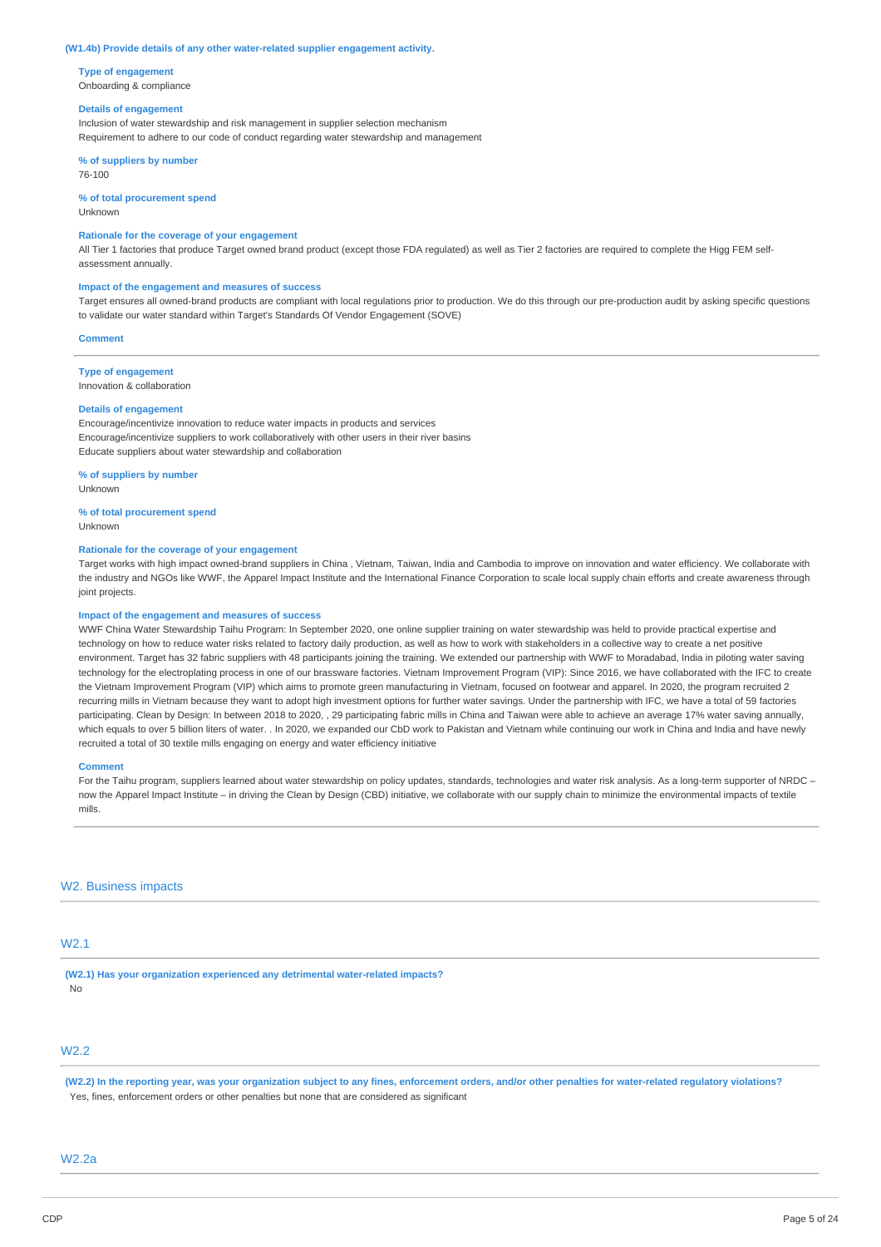#### **(W1.4b) Provide details of any other water-related supplier engagement activity.**

**Type of engagement**  Onboarding & compliance

#### **Details of engagement**

Inclusion of water stewardship and risk management in supplier selection mechanism Requirement to adhere to our code of conduct regarding water stewardship and management

**% of suppliers by number**  76-100

## **% of total procurement spend**

Unknown

## **Rationale for the coverage of your engagement**

All Tier 1 factories that produce Target owned brand product (except those FDA regulated) as well as Tier 2 factories are required to complete the Higg FEM selfassessment annually.

## **Impact of the engagement and measures of success**

Target ensures all owned-brand products are compliant with local regulations prior to production. We do this through our pre-production audit by asking specific questions to validate our water standard within Target's Standards Of Vendor Engagement (SOVE)

#### **Comment**

**Type of engagement** 

### Innovation & collaboration

## **Details of engagement**

Encourage/incentivize innovation to reduce water impacts in products and services Encourage/incentivize suppliers to work collaboratively with other users in their river basins Educate suppliers about water stewardship and collaboration

# **% of suppliers by number**

Unknown

# **% of total procurement spend**

Unknown

## **Rationale for the coverage of your engagement**

Target works with high impact owned-brand suppliers in China , Vietnam, Taiwan, India and Cambodia to improve on innovation and water efficiency. We collaborate with the industry and NGOs like WWF, the Apparel Impact Institute and the International Finance Corporation to scale local supply chain efforts and create awareness through joint projects.

#### **Impact of the engagement and measures of success**

WWF China Water Stewardship Taihu Program: In September 2020, one online supplier training on water stewardship was held to provide practical expertise and technology on how to reduce water risks related to factory daily production, as well as how to work with stakeholders in a collective way to create a net positive environment. Target has 32 fabric suppliers with 48 participants joining the training. We extended our partnership with WWF to Moradabad, India in piloting water saving technology for the electroplating process in one of our brassware factories. Vietnam Improvement Program (VIP): Since 2016, we have collaborated with the IFC to create the Vietnam Improvement Program (VIP) which aims to promote green manufacturing in Vietnam, focused on footwear and apparel. In 2020, the program recruited 2 recurring mills in Vietnam because they want to adopt high investment options for further water savings. Under the partnership with IFC, we have a total of 59 factories participating. Clean by Design: In between 2018 to 2020, , 29 participating fabric mills in China and Taiwan were able to achieve an average 17% water saving annually, which equals to over 5 billion liters of water. . In 2020, we expanded our CbD work to Pakistan and Vietnam while continuing our work in China and India and have newly recruited a total of 30 textile mills engaging on energy and water efficiency initiative

#### **Comment**

For the Taihu program, suppliers learned about water stewardship on policy updates, standards, technologies and water risk analysis. As a long-term supporter of NRDC now the Apparel Impact Institute – in driving the Clean by Design (CBD) initiative, we collaborate with our supply chain to minimize the environmental impacts of textile mills.

## W<sub>2</sub>. Business impacts

# W2.1

**(W2.1) Has your organization experienced any detrimental water-related impacts?**  No

# W2.2

**(W2.2) In the reporting year, was your organization subject to any fines, enforcement orders, and/or other penalties for water-related regulatory violations?**  Yes, fines, enforcement orders or other penalties but none that are considered as significant

## W2.2a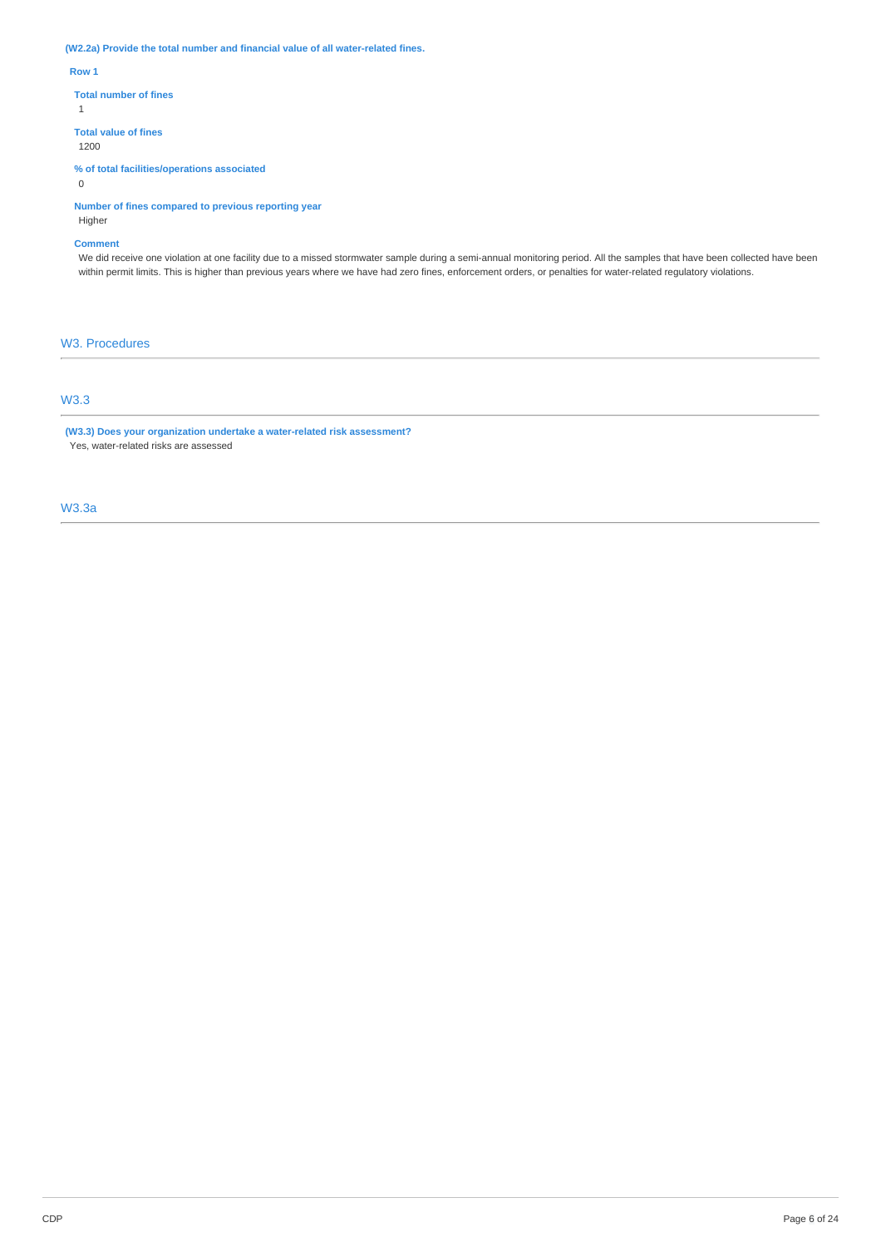**(W2.2a) Provide the total number and financial value of all water-related fines.** 

**Row 1** 

**Total number of fines** 

1

**Total value of fines** 

1200

**% of total facilities/operations associated**  0

**Number of fines compared to previous reporting year**  Higher

## **Comment**

We did receive one violation at one facility due to a missed stormwater sample during a semi-annual monitoring period. All the samples that have been collected have been within permit limits. This is higher than previous years where we have had zero fines, enforcement orders, or penalties for water-related regulatory violations.

# W3. Procedures

# W3.3

**(W3.3) Does your organization undertake a water-related risk assessment?**  Yes, water-related risks are assessed

## W3.3a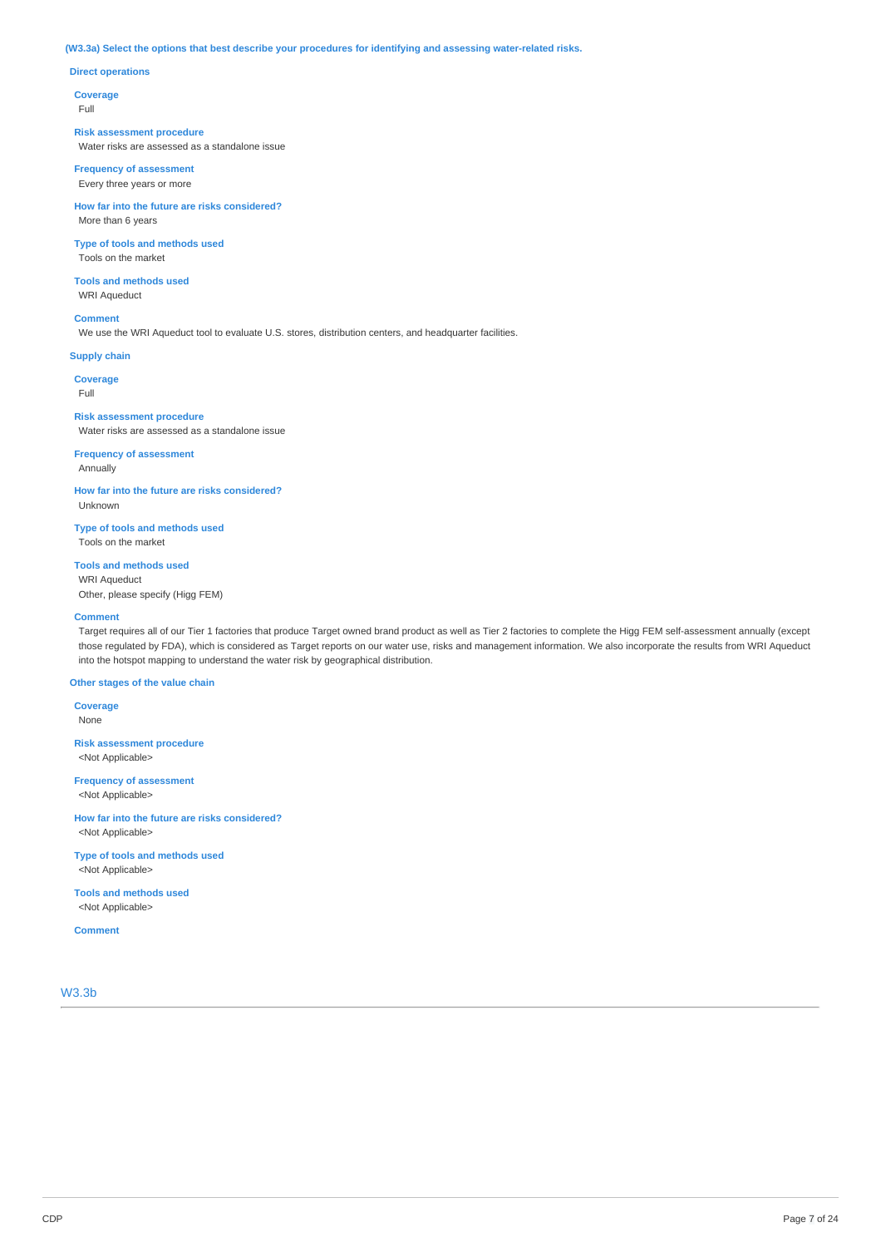## **(W3.3a) Select the options that best describe your procedures for identifying and assessing water-related risks.**

## **Direct operations**

**Coverage** 

Full

#### **Risk assessment procedure**

Water risks are assessed as a standalone issue

## **Frequency of assessment**  Every three years or more

**How far into the future are risks considered?**  More than 6 years

## **Type of tools and methods used**  Tools on the market

**Tools and methods used** 

WRI Aqueduct

## **Comment**

We use the WRI Aqueduct tool to evaluate U.S. stores, distribution centers, and headquarter facilities.

#### **Supply chain**

**Coverage** 

Full

### **Risk assessment procedure**  Water risks are assessed as a standalone issue

## **Frequency of assessment**  Annually

**How far into the future are risks considered?**  Unknown

**Type of tools and methods used**  Tools on the market

# **Tools and methods used**

WRI Aqueduct Other, please specify (Higg FEM)

#### **Comment**

Target requires all of our Tier 1 factories that produce Target owned brand product as well as Tier 2 factories to complete the Higg FEM self-assessment annually (except those regulated by FDA), which is considered as Target reports on our water use, risks and management information. We also incorporate the results from WRI Aqueduct into the hotspot mapping to understand the water risk by geographical distribution.

## **Other stages of the value chain**

**Coverage**  None

**Risk assessment procedure**  <Not Applicable>

**Frequency of assessment**  <Not Applicable>

**How far into the future are risks considered?**  <Not Applicable>

**Type of tools and methods used**  <Not Applicable>

**Tools and methods used**  <Not Applicable>

**Comment**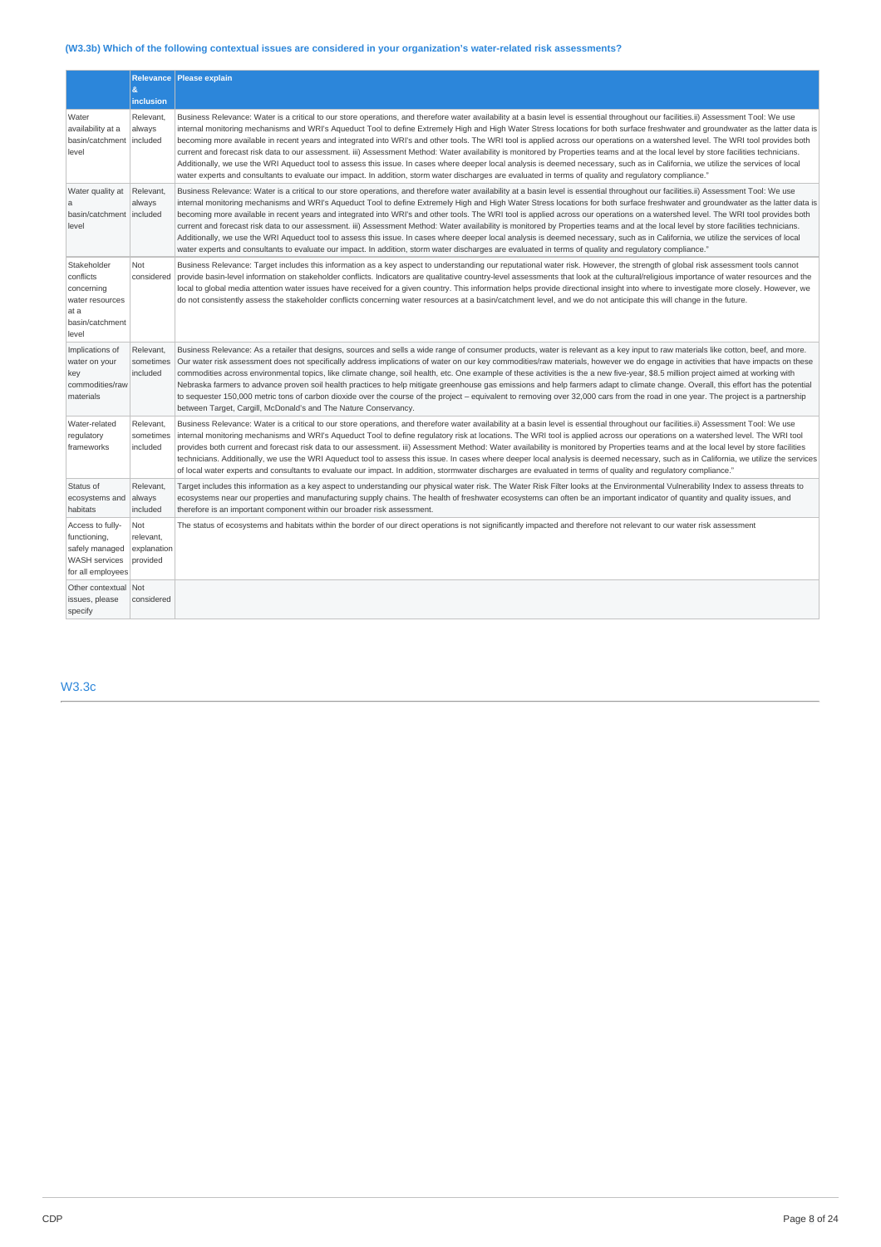# **(W3.3b) Which of the following contextual issues are considered in your organization's water-related risk assessments?**

|                                                                                                 | l &<br>inclusion                            | Relevance   Please explain                                                                                                                                                                                                                                                                                                                                                                                                                                                                                                                                                                                                                                                                                                                                                                                                                                                                                                                                                                                                                                                                                |
|-------------------------------------------------------------------------------------------------|---------------------------------------------|-----------------------------------------------------------------------------------------------------------------------------------------------------------------------------------------------------------------------------------------------------------------------------------------------------------------------------------------------------------------------------------------------------------------------------------------------------------------------------------------------------------------------------------------------------------------------------------------------------------------------------------------------------------------------------------------------------------------------------------------------------------------------------------------------------------------------------------------------------------------------------------------------------------------------------------------------------------------------------------------------------------------------------------------------------------------------------------------------------------|
| Water<br>availability at a<br>basin/catchment<br>level                                          | Relevant.<br>always<br>included             | Business Relevance: Water is a critical to our store operations, and therefore water availability at a basin level is essential throughout our facilities.ii) Assessment Tool: We use<br>internal monitoring mechanisms and WRI's Aqueduct Tool to define Extremely High and High Water Stress locations for both surface freshwater and groundwater as the latter data is<br>becoming more available in recent years and integrated into WRI's and other tools. The WRI tool is applied across our operations on a watershed level. The WRI tool provides both<br>current and forecast risk data to our assessment. iii) Assessment Method: Water availability is monitored by Properties teams and at the local level by store facilities technicians.<br>Additionally, we use the WRI Aqueduct tool to assess this issue. In cases where deeper local analysis is deemed necessary, such as in California, we utilize the services of local<br>water experts and consultants to evaluate our impact. In addition, storm water discharges are evaluated in terms of quality and requlatory compliance." |
| Water quality at<br>a<br>basin/catchment<br>level                                               | Relevant.<br>always<br>included             | Business Relevance: Water is a critical to our store operations, and therefore water availability at a basin level is essential throughout our facilities.ii) Assessment Tool: We use<br>internal monitoring mechanisms and WRI's Aqueduct Tool to define Extremely High and High Water Stress locations for both surface freshwater and groundwater as the latter data is<br>becoming more available in recent years and integrated into WRI's and other tools. The WRI tool is applied across our operations on a watershed level. The WRI tool provides both<br>current and forecast risk data to our assessment. iii) Assessment Method: Water availability is monitored by Properties teams and at the local level by store facilities technicians.<br>Additionally, we use the WRI Aqueduct tool to assess this issue. In cases where deeper local analysis is deemed necessary, such as in California, we utilize the services of local<br>water experts and consultants to evaluate our impact. In addition, storm water discharges are evaluated in terms of quality and regulatory compliance." |
| Stakeholder<br>conflicts<br>concerning<br>water resources<br>at a<br>basin/catchment<br>level   | Not<br>considered                           | Business Relevance: Target includes this information as a key aspect to understanding our reputational water risk. However, the strength of global risk assessment tools cannot<br>provide basin-level information on stakeholder conflicts. Indicators are qualitative country-level assessments that look at the cultural/religious importance of water resources and the<br>local to global media attention water issues have received for a given country. This information helps provide directional insight into where to investigate more closely. However, we<br>do not consistently assess the stakeholder conflicts concerning water resources at a basin/catchment level, and we do not anticipate this will change in the future.                                                                                                                                                                                                                                                                                                                                                             |
| Implications of<br>water on your<br>key<br>commodities/raw<br>materials                         | Relevant.<br>sometimes<br>included          | Business Relevance: As a retailer that designs, sources and sells a wide range of consumer products, water is relevant as a key input to raw materials like cotton, beef, and more.<br>Our water risk assessment does not specifically address implications of water on our key commodities/raw materials, however we do engage in activities that have impacts on these<br>commodities across environmental topics, like climate change, soil health, etc. One example of these activities is the a new five-year, \$8.5 million project aimed at working with<br>Nebraska farmers to advance proven soil health practices to help mitigate greenhouse gas emissions and help farmers adapt to climate change. Overall, this effort has the potential<br>to sequester 150,000 metric tons of carbon dioxide over the course of the project - equivalent to removing over 32,000 cars from the road in one year. The project is a partnership<br>between Target, Cargill, McDonald's and The Nature Conservancy.                                                                                          |
| Water-related<br>regulatory<br>frameworks                                                       | Relevant,<br>sometimes<br>included          | Business Relevance: Water is a critical to our store operations, and therefore water availability at a basin level is essential throughout our facilities.ii) Assessment Tool: We use<br>internal monitoring mechanisms and WRI's Aqueduct Tool to define regulatory risk at locations. The WRI tool is applied across our operations on a watershed level. The WRI tool<br>provides both current and forecast risk data to our assessment. iii) Assessment Method: Water availability is monitored by Properties teams and at the local level by store facilities<br>technicians. Additionally, we use the WRI Aqueduct tool to assess this issue. In cases where deeper local analysis is deemed necessary, such as in California, we utilize the services<br>of local water experts and consultants to evaluate our impact. In addition, stormwater discharges are evaluated in terms of quality and regulatory compliance."                                                                                                                                                                           |
| Status of<br>ecosystems and<br>habitats                                                         | Relevant.<br>always<br>included             | Target includes this information as a key aspect to understanding our physical water risk. The Water Risk Filter looks at the Environmental Vulnerability Index to assess threats to<br>ecosystems near our properties and manufacturing supply chains. The health of freshwater ecosystems can often be an important indicator of quantity and quality issues, and<br>therefore is an important component within our broader risk assessment.                                                                                                                                                                                                                                                                                                                                                                                                                                                                                                                                                                                                                                                            |
| Access to fully-<br>functioning,<br>safely managed<br><b>WASH</b> services<br>for all employees | Not<br>relevant,<br>explanation<br>provided | The status of ecosystems and habitats within the border of our direct operations is not significantly impacted and therefore not relevant to our water risk assessment                                                                                                                                                                                                                                                                                                                                                                                                                                                                                                                                                                                                                                                                                                                                                                                                                                                                                                                                    |
| Other contextual Not<br>issues, please<br>specify                                               | considered                                  |                                                                                                                                                                                                                                                                                                                                                                                                                                                                                                                                                                                                                                                                                                                                                                                                                                                                                                                                                                                                                                                                                                           |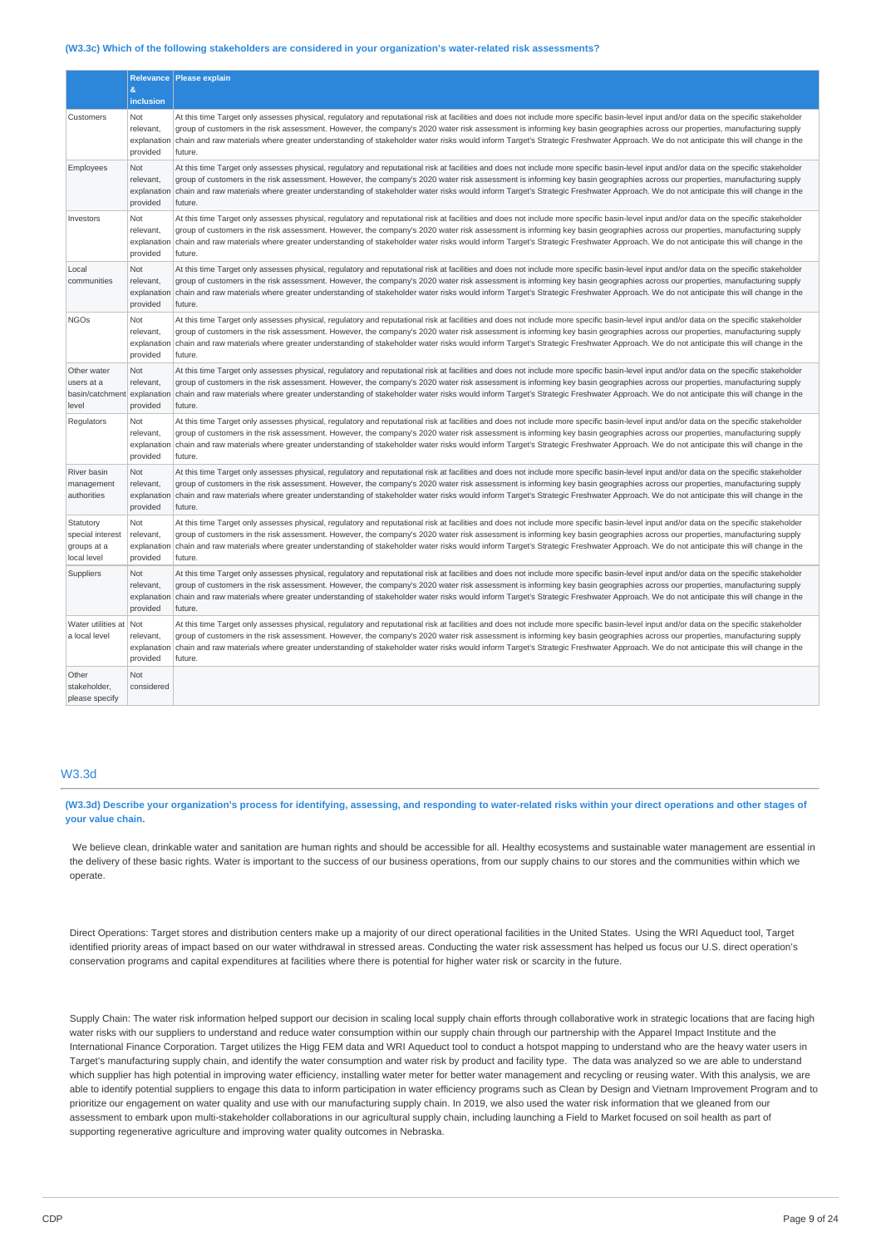#### **(W3.3c) Which of the following stakeholders are considered in your organization's water-related risk assessments?**

|                                                                  | &<br>inclusion                              | Relevance Please explain                                                                                                                                                                                                                                                                                                                                                                                                                                                                                                                                              |
|------------------------------------------------------------------|---------------------------------------------|-----------------------------------------------------------------------------------------------------------------------------------------------------------------------------------------------------------------------------------------------------------------------------------------------------------------------------------------------------------------------------------------------------------------------------------------------------------------------------------------------------------------------------------------------------------------------|
| Customers                                                        | Not<br>relevant,<br>explanatio<br>provided  | At this time Target only assesses physical, regulatory and reputational risk at facilities and does not include more specific basin-level input and/or data on the specific stakeholder<br>group of customers in the risk assessment. However, the company's 2020 water risk assessment is informing key basin geographies across our properties, manufacturing supply<br>chain and raw materials where greater understanding of stakeholder water risks would inform Target's Strategic Freshwater Approach. We do not anticipate this will change in the<br>future. |
| Employees                                                        | Not<br>relevant,<br>explanatio<br>provided  | At this time Target only assesses physical, regulatory and reputational risk at facilities and does not include more specific basin-level input and/or data on the specific stakeholder<br>group of customers in the risk assessment. However, the company's 2020 water risk assessment is informing key basin geographies across our properties, manufacturing supply<br>chain and raw materials where greater understanding of stakeholder water risks would inform Target's Strategic Freshwater Approach. We do not anticipate this will change in the<br>future. |
| Investors                                                        | Not<br>relevant,<br>explanatio<br>provided  | At this time Target only assesses physical, regulatory and reputational risk at facilities and does not include more specific basin-level input and/or data on the specific stakeholder<br>group of customers in the risk assessment. However, the company's 2020 water risk assessment is informing key basin geographies across our properties, manufacturing supply<br>chain and raw materials where greater understanding of stakeholder water risks would inform Target's Strategic Freshwater Approach. We do not anticipate this will change in the<br>future. |
| Local<br>communities                                             | Not<br>relevant,<br>explanatio<br>provided  | At this time Target only assesses physical, regulatory and reputational risk at facilities and does not include more specific basin-level input and/or data on the specific stakeholder<br>group of customers in the risk assessment. However, the company's 2020 water risk assessment is informing key basin geographies across our properties, manufacturing supply<br>chain and raw materials where greater understanding of stakeholder water risks would inform Target's Strategic Freshwater Approach. We do not anticipate this will change in the<br>future. |
| <b>NGOs</b>                                                      | Not<br>relevant,<br>explanation<br>provided | At this time Target only assesses physical, regulatory and reputational risk at facilities and does not include more specific basin-level input and/or data on the specific stakeholder<br>group of customers in the risk assessment. However, the company's 2020 water risk assessment is informing key basin geographies across our properties, manufacturing supply<br>chain and raw materials where greater understanding of stakeholder water risks would inform Target's Strategic Freshwater Approach. We do not anticipate this will change in the<br>future. |
| Other water<br>users at a<br>basin/catchment explanatio<br>level | Not<br>relevant,<br>provided                | At this time Target only assesses physical, regulatory and reputational risk at facilities and does not include more specific basin-level input and/or data on the specific stakeholder<br>group of customers in the risk assessment. However, the company's 2020 water risk assessment is informing key basin geographies across our properties, manufacturing supply<br>chain and raw materials where greater understanding of stakeholder water risks would inform Target's Strategic Freshwater Approach. We do not anticipate this will change in the<br>future. |
| Regulators                                                       | Not<br>relevant,<br>explanatio<br>provided  | At this time Target only assesses physical, regulatory and reputational risk at facilities and does not include more specific basin-level input and/or data on the specific stakeholder<br>group of customers in the risk assessment. However, the company's 2020 water risk assessment is informing key basin geographies across our properties, manufacturing supply<br>chain and raw materials where greater understanding of stakeholder water risks would inform Target's Strategic Freshwater Approach. We do not anticipate this will change in the<br>future. |
| River basin<br>management<br>authorities                         | Not<br>relevant,<br>explanatio<br>provided  | At this time Target only assesses physical, regulatory and reputational risk at facilities and does not include more specific basin-level input and/or data on the specific stakeholder<br>group of customers in the risk assessment. However, the company's 2020 water risk assessment is informing key basin geographies across our properties, manufacturing supply<br>chain and raw materials where greater understanding of stakeholder water risks would inform Target's Strategic Freshwater Approach. We do not anticipate this will change in the<br>future. |
| Statutory<br>special interest<br>groups at a<br>local level      | Not<br>relevant,<br>explanatio<br>provided  | At this time Target only assesses physical, regulatory and reputational risk at facilities and does not include more specific basin-level input and/or data on the specific stakeholder<br>group of customers in the risk assessment. However, the company's 2020 water risk assessment is informing key basin geographies across our properties, manufacturing supply<br>chain and raw materials where greater understanding of stakeholder water risks would inform Target's Strategic Freshwater Approach. We do not anticipate this will change in the<br>future. |
| Suppliers                                                        | Not<br>relevant,<br>explanatio<br>provided  | At this time Target only assesses physical, regulatory and reputational risk at facilities and does not include more specific basin-level input and/or data on the specific stakeholder<br>group of customers in the risk assessment. However, the company's 2020 water risk assessment is informing key basin geographies across our properties, manufacturing supply<br>chain and raw materials where greater understanding of stakeholder water risks would inform Target's Strategic Freshwater Approach. We do not anticipate this will change in the<br>future. |
| Water utilities at<br>a local level                              | Not<br>relevant,<br>explanatior<br>provided | At this time Target only assesses physical, regulatory and reputational risk at facilities and does not include more specific basin-level input and/or data on the specific stakeholder<br>group of customers in the risk assessment. However, the company's 2020 water risk assessment is informing key basin geographies across our properties, manufacturing supply<br>chain and raw materials where greater understanding of stakeholder water risks would inform Target's Strategic Freshwater Approach. We do not anticipate this will change in the<br>future. |
| Other<br>stakeholder,<br>please specify                          | Not<br>considered                           |                                                                                                                                                                                                                                                                                                                                                                                                                                                                                                                                                                       |

# W3.3d

**(W3.3d) Describe your organization's process for identifying, assessing, and responding to water-related risks within your direct operations and other stages of your value chain.** 

We believe clean, drinkable water and sanitation are human rights and should be accessible for all. Healthy ecosystems and sustainable water management are essential in the delivery of these basic rights. Water is important to the success of our business operations, from our supply chains to our stores and the communities within which we operate.

Direct Operations: Target stores and distribution centers make up a majority of our direct operational facilities in the United States. Using the WRI Aqueduct tool, Target identified priority areas of impact based on our water withdrawal in stressed areas. Conducting the water risk assessment has helped us focus our U.S. direct operation's conservation programs and capital expenditures at facilities where there is potential for higher water risk or scarcity in the future.

Supply Chain: The water risk information helped support our decision in scaling local supply chain efforts through collaborative work in strategic locations that are facing high water risks with our suppliers to understand and reduce water consumption within our supply chain through our partnership with the Apparel Impact Institute and the International Finance Corporation. Target utilizes the Higg FEM data and WRI Aqueduct tool to conduct a hotspot mapping to understand who are the heavy water users in Target's manufacturing supply chain, and identify the water consumption and water risk by product and facility type. The data was analyzed so we are able to understand which supplier has high potential in improving water efficiency, installing water meter for better water management and recycling or reusing water. With this analysis, we are able to identify potential suppliers to engage this data to inform participation in water efficiency programs such as Clean by Design and Vietnam Improvement Program and to prioritize our engagement on water quality and use with our manufacturing supply chain. In 2019, we also used the water risk information that we gleaned from our assessment to embark upon multi-stakeholder collaborations in our agricultural supply chain, including launching a Field to Market focused on soil health as part of supporting regenerative agriculture and improving water quality outcomes in Nebraska.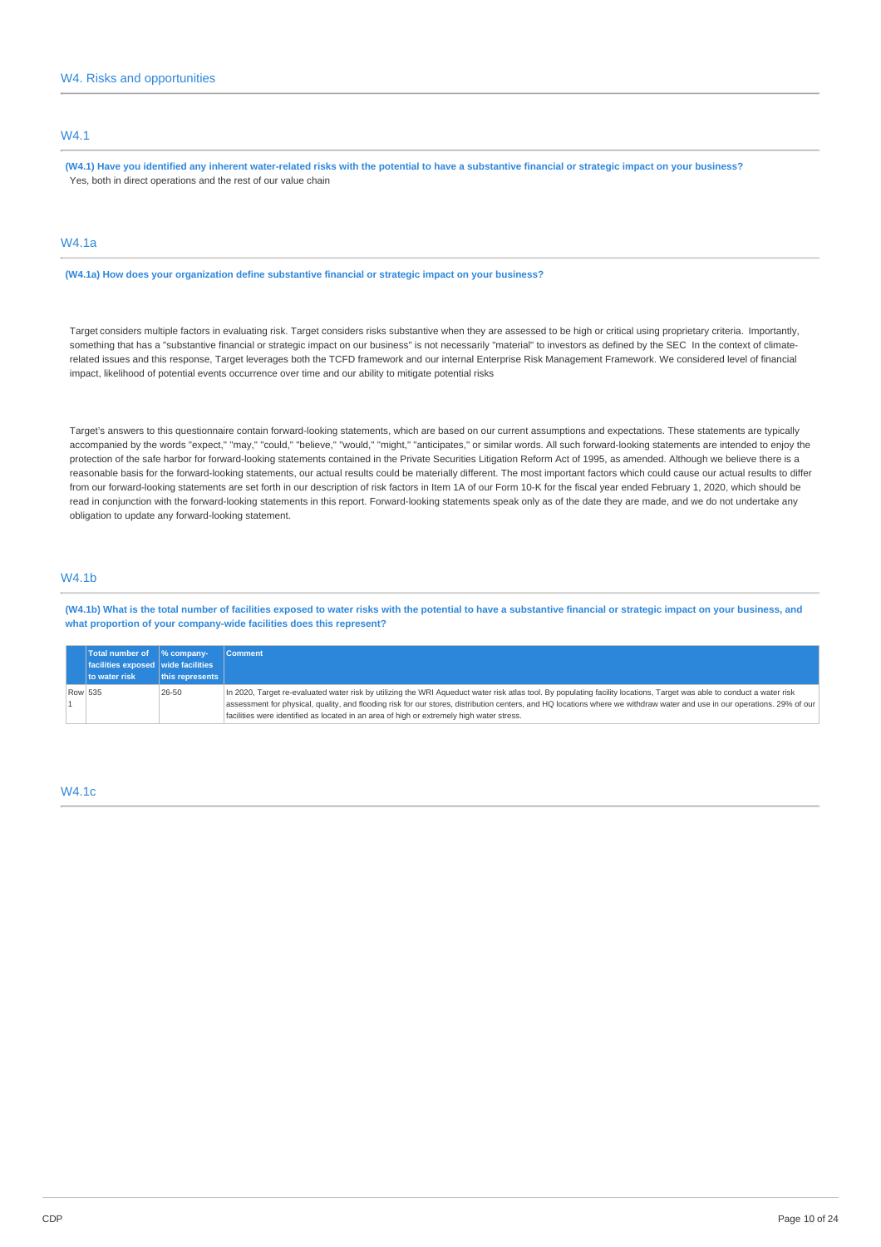## W4.1

**(W4.1) Have you identified any inherent water-related risks with the potential to have a substantive financial or strategic impact on your business?**  Yes, both in direct operations and the rest of our value chain

# W4.1a

**(W4.1a) How does your organization define substantive financial or strategic impact on your business?** 

Target considers multiple factors in evaluating risk. Target considers risks substantive when they are assessed to be high or critical using proprietary criteria. Importantly, something that has a "substantive financial or strategic impact on our business" is not necessarily "material" to investors as defined by the SEC In the context of climaterelated issues and this response, Target leverages both the TCFD framework and our internal Enterprise Risk Management Framework. We considered level of financial impact, likelihood of potential events occurrence over time and our ability to mitigate potential risks

Target's answers to this questionnaire contain forward-looking statements, which are based on our current assumptions and expectations. These statements are typically accompanied by the words "expect," "may," "could," "believe," "would," "might," "anticipates," or similar words. All such forward-looking statements are intended to enjoy the protection of the safe harbor for forward-looking statements contained in the Private Securities Litigation Reform Act of 1995, as amended. Although we believe there is a reasonable basis for the forward-looking statements, our actual results could be materially different. The most important factors which could cause our actual results to differ from our forward-looking statements are set forth in our description of risk factors in Item 1A of our Form 10-K for the fiscal year ended February 1, 2020, which should be read in conjunction with the forward-looking statements in this report. Forward-looking statements speak only as of the date they are made, and we do not undertake any obligation to update any forward-looking statement.

# W4.1b

**(W4.1b) What is the total number of facilities exposed to water risks with the potential to have a substantive financial or strategic impact on your business, and what proportion of your company-wide facilities does this represent?** 

|         | Total number of $\frac{1}{2}$ company-<br>$\vert$ facilities exposed $\vert$ wide facilities<br>to water risk | this represents | <b>Comment</b>                                                                                                                                                                                                                                                                                                                                                                                                                                 |
|---------|---------------------------------------------------------------------------------------------------------------|-----------------|------------------------------------------------------------------------------------------------------------------------------------------------------------------------------------------------------------------------------------------------------------------------------------------------------------------------------------------------------------------------------------------------------------------------------------------------|
| Row 535 |                                                                                                               | 26-50           | In 2020, Target re-evaluated water risk by utilizing the WRI Aqueduct water risk atlas tool. By populating facility locations, Target was able to conduct a water risk<br>assessment for physical, quality, and flooding risk for our stores, distribution centers, and HQ locations where we withdraw water and use in our operations. 29% of our<br>facilities were identified as located in an area of high or extremely high water stress. |

## W4.1c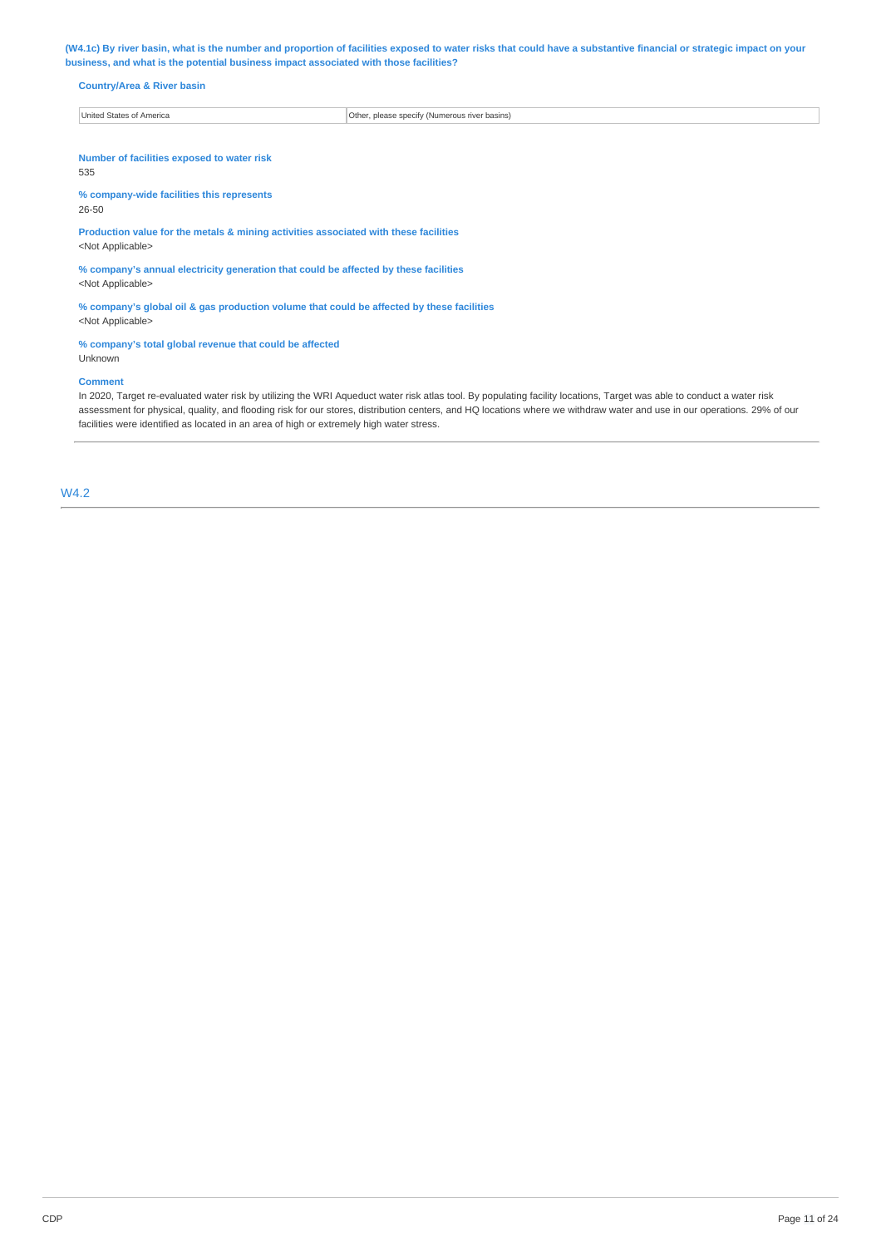**(W4.1c) By river basin, what is the number and proportion of facilities exposed to water risks that could have a substantive financial or strategic impact on your business, and what is the potential business impact associated with those facilities?** 

# **Country/Area & River basin**

| United States of America | Other.<br>r. please specify (Numerous river basins). |
|--------------------------|------------------------------------------------------|

**Number of facilities exposed to water risk**  535

**% company-wide facilities this represents** 

26-50

**Production value for the metals & mining activities associated with these facilities**  <Not Applicable>

**% company's annual electricity generation that could be affected by these facilities**  <Not Applicable>

**% company's global oil & gas production volume that could be affected by these facilities**  <Not Applicable>

## **% company's total global revenue that could be affected**

Unknown

## **Comment**

In 2020, Target re-evaluated water risk by utilizing the WRI Aqueduct water risk atlas tool. By populating facility locations, Target was able to conduct a water risk assessment for physical, quality, and flooding risk for our stores, distribution centers, and HQ locations where we withdraw water and use in our operations. 29% of our facilities were identified as located in an area of high or extremely high water stress.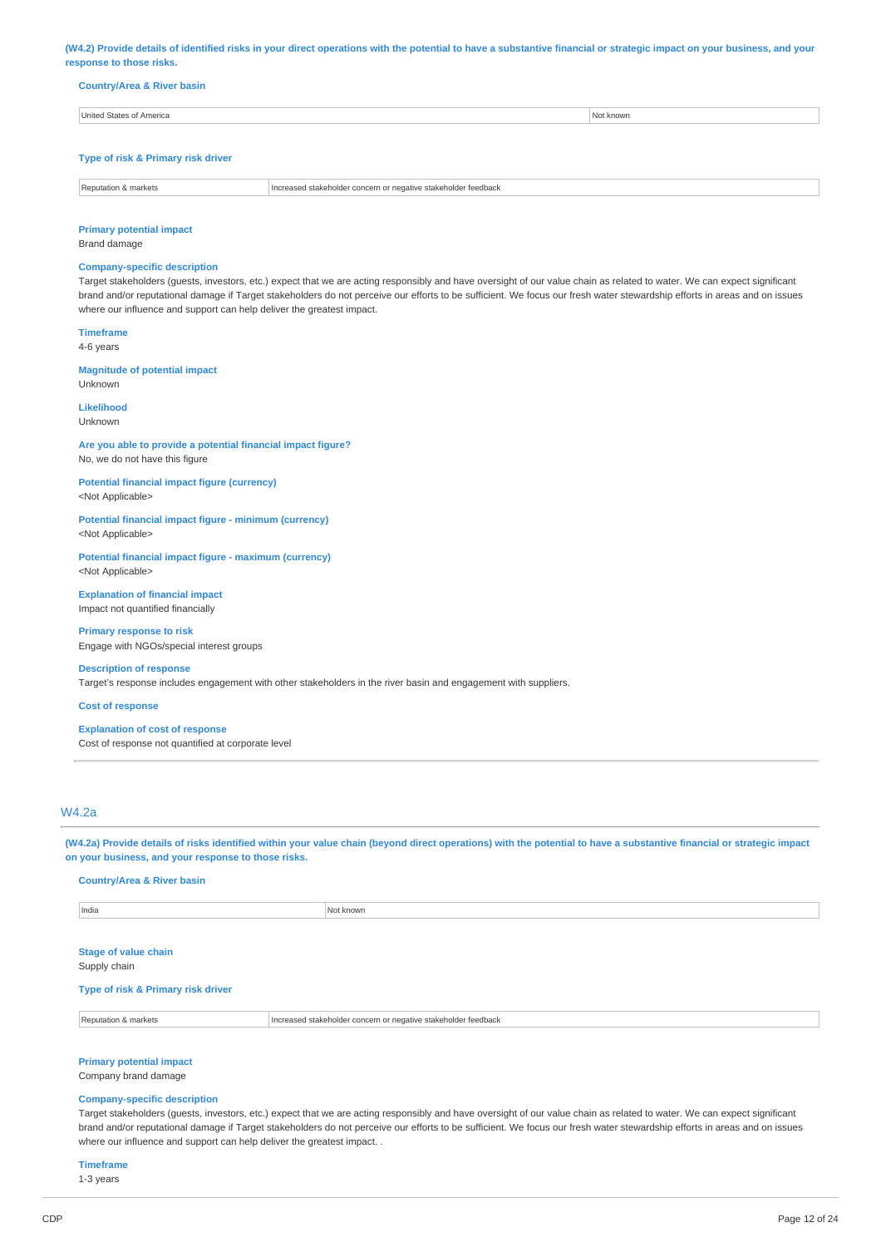**(W4.2) Provide details of identified risks in your direct operations with the potential to have a substantive financial or strategic impact on your business, and your response to those risks.** 

| <b>Country/Area &amp; River basin</b> |  |  |
|---------------------------------------|--|--|

| Initad<br>merica | nown. |
|------------------|-------|
|                  |       |

# **Type of risk & Primary risk driver**

| ednac.<br>$\cdots$<br>. |
|-------------------------|
|                         |

## **Primary potential impact**

Brand damage

## **Company-specific description**

Target stakeholders (guests, investors, etc.) expect that we are acting responsibly and have oversight of our value chain as related to water. We can expect significant brand and/or reputational damage if Target stakeholders do not perceive our efforts to be sufficient. We focus our fresh water stewardship efforts in areas and on issues where our influence and support can help deliver the greatest impact.

**Timeframe**  4-6 years

Unknown

**Magnitude of potential impact** 

**Likelihood**  Unknown

**Are you able to provide a potential financial impact figure?**  No, we do not have this figure

**Potential financial impact figure (currency)**  <Not Applicable>

**Potential financial impact figure - minimum (currency)**  <Not Applicable>

**Potential financial impact figure - maximum (currency)**  <Not Applicable>

**Explanation of financial impact**  Impact not quantified financially

**Primary response to risk**  Engage with NGOs/special interest groups

**Description of response**  Target's response includes engagement with other stakeholders in the river basin and engagement with suppliers.

**Cost of response** 

#### **Explanation of cost of response**

Cost of response not quantified at corporate level

## W4.2a

**(W4.2a) Provide details of risks identified within your value chain (beyond direct operations) with the potential to have a substantive financial or strategic impact on your business, and your response to those risks.** 

**Country/Area & River basin** 

| India<br>$- - - -$ | KNOWN |
|--------------------|-------|
|                    |       |

**Stage of value chain** 

Supply chain

**Type of risk & Primary risk driver** 

Reputation & markets **Increased stakeholder concern or negative stakeholder feedback** 

**Primary potential impact** 

Company brand damage

## **Company-specific description**

Target stakeholders (guests, investors, etc.) expect that we are acting responsibly and have oversight of our value chain as related to water. We can expect significant brand and/or reputational damage if Target stakeholders do not perceive our efforts to be sufficient. We focus our fresh water stewardship efforts in areas and on issues where our influence and support can help deliver the greatest impact. .

**Timeframe** 

1-3 years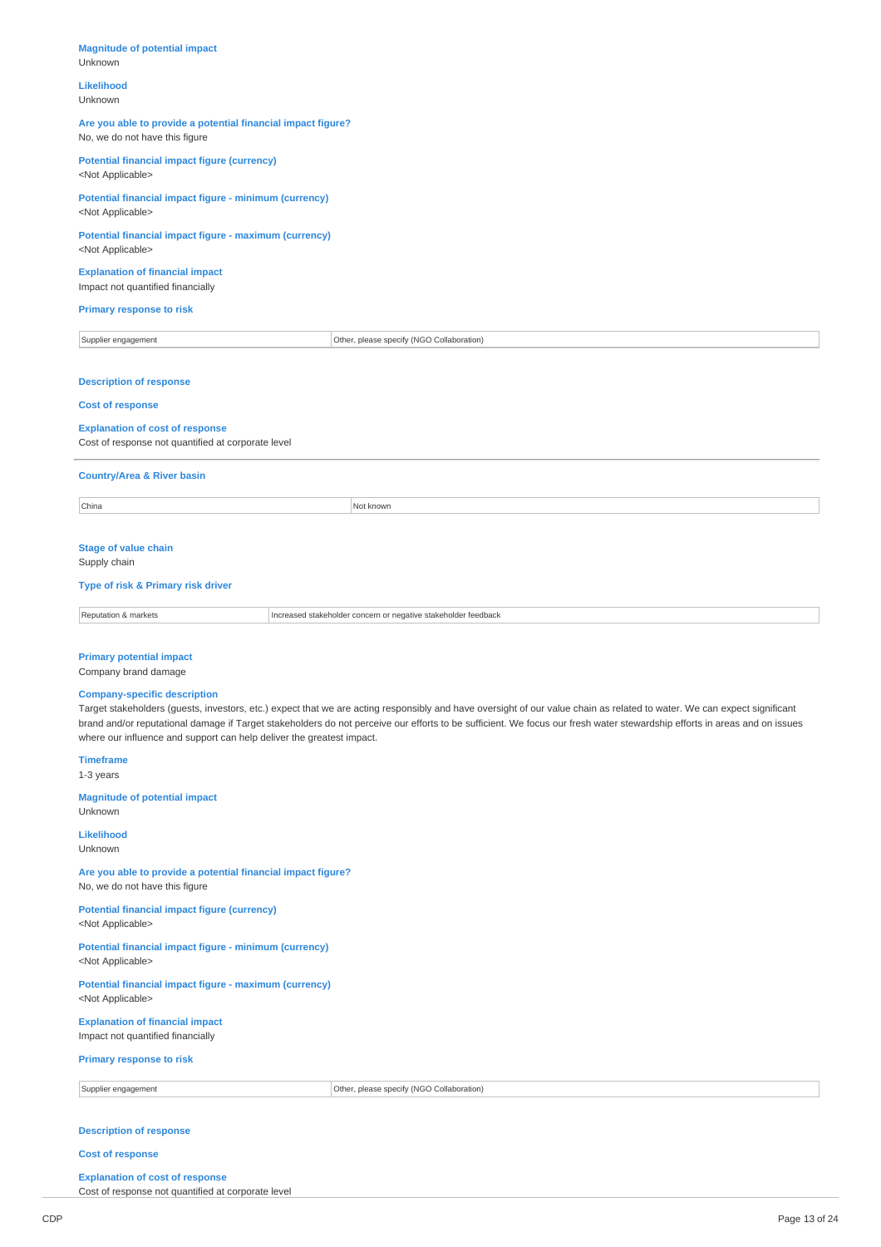# **Magnitude of potential impact**  Unknown **Likelihood**  Unknown **Are you able to provide a potential financial impact figure?**  No, we do not have this figure **Potential financial impact figure (currency)**  <Not Applicable> **Potential financial impact figure - minimum (currency)**  <Not Applicable> **Potential financial impact figure - maximum (currency)**  <Not Applicable> **Explanation of financial impact**  Impact not quantified financially **Primary response to risk**  Supplier engagement **Collaboration** Other, please specify (NGO Collaboration) **Description of response Cost of response Explanation of cost of response**  Cost of response not quantified at corporate level **Country/Area & River basin**  China Not known and the contract of the contract of the contract of the contract of the contract of the contract of the contract of the contract of the contract of the contract of the contract of the contract of the contra **Stage of value chain**  Supply chain **Type of risk & Primary risk driver**  Reputation & markets **Increased stakeholder concern or negative stakeholder feedback Primary potential impact**  Company brand damage **Company-specific description**  Target stakeholders (guests, investors, etc.) expect that we are acting responsibly and have oversight of our value chain as related to water. We can expect significant brand and/or reputational damage if Target stakeholders do not perceive our efforts to be sufficient. We focus our fresh water stewardship efforts in areas and on issues where our influence and support can help deliver the greatest impact. **Timeframe**  1-3 years **Magnitude of potential impact**  Unknown **Likelihood**  Unknown **Are you able to provide a potential financial impact figure?**  No, we do not have this figure **Potential financial impact figure (currency)**  <Not Applicable> **Potential financial impact figure - minimum (currency)**  <Not Applicable> **Potential financial impact figure - maximum (currency)**  <Not Applicable> **Explanation of financial impact**  Impact not quantified financially **Primary response to risk**  Supplier engagement **Collaboration** Computer of Other, please specify (NGO Collaboration)

# **Description of response**

#### **Cost of response**

## **Explanation of cost of response**

Cost of response not quantified at corporate level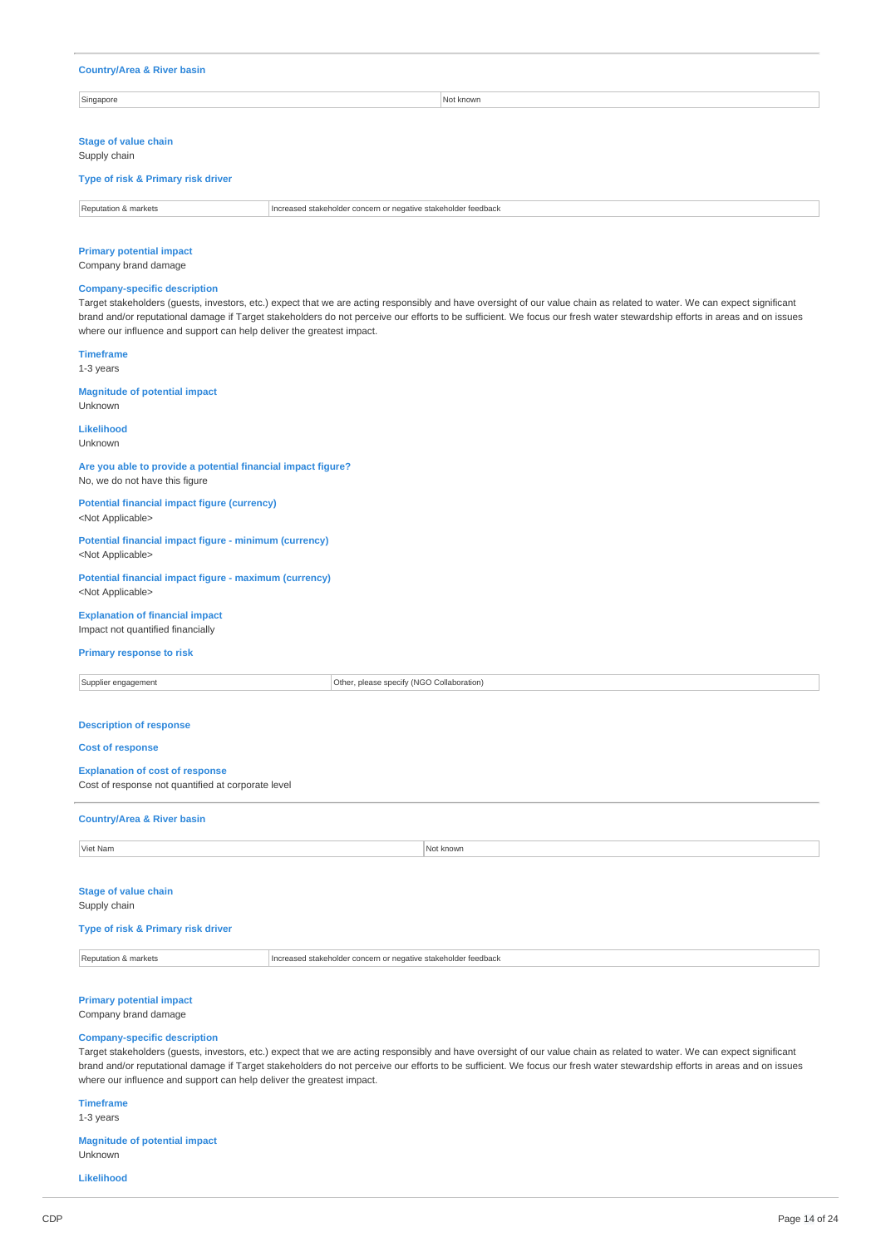#### **Country/Area & River basin**

Singapore Not known and the set of the set of the set of the set of the set of the set of the set of the set of the set of the set of the set of the set of the set of the set of the set of the set of the set of the set of

## **Stage of value chain**

Supply chain

## **Type of risk & Primary risk driver**

| Renutatio<br>iarkets<br><b>STATE</b> | : stakeholder feedback<br>and atakeholder compared<br>100000000<br>atıve<br>$\sim$ noorn<br>$-$ none. |
|--------------------------------------|-------------------------------------------------------------------------------------------------------|

## **Primary potential impact**

Company brand damage

### **Company-specific description**

Target stakeholders (guests, investors, etc.) expect that we are acting responsibly and have oversight of our value chain as related to water. We can expect significant brand and/or reputational damage if Target stakeholders do not perceive our efforts to be sufficient. We focus our fresh water stewardship efforts in areas and on issues where our influence and support can help deliver the greatest impact.

### **Timeframe**

1-3 years

# **Magnitude of potential impact**

Unknown

## **Likelihood**

Unknown

## **Are you able to provide a potential financial impact figure?**  No, we do not have this figure

**Potential financial impact figure (currency)**  <Not Applicable>

### **Potential financial impact figure - minimum (currency)**  <Not Applicable>

**Potential financial impact figure - maximum (currency)**  <Not Applicable>

# **Explanation of financial impact**

Impact not quantified financially

## **Primary response to risk**

Supplier engagement **Collaboration** Collaboration Collaboration Collaboration Collaboration **Description of response Cost of response Explanation of cost of response**  Cost of response not quantified at corporate level **Country/Area & River basin** 

**Viet Nam Not known** 

## **Stage of value chain**  Supply chain

## **Type of risk & Primary risk driver**

Reputation & markets **Increased stakeholder concern or negative stakeholder feedback** 

## **Primary potential impact**

Company brand damage

## **Company-specific description**

Target stakeholders (guests, investors, etc.) expect that we are acting responsibly and have oversight of our value chain as related to water. We can expect significant brand and/or reputational damage if Target stakeholders do not perceive our efforts to be sufficient. We focus our fresh water stewardship efforts in areas and on issues where our influence and support can help deliver the greatest impact.

# **Timeframe**

1-3 years

**Magnitude of potential impact**  Unknown

**Likelihood**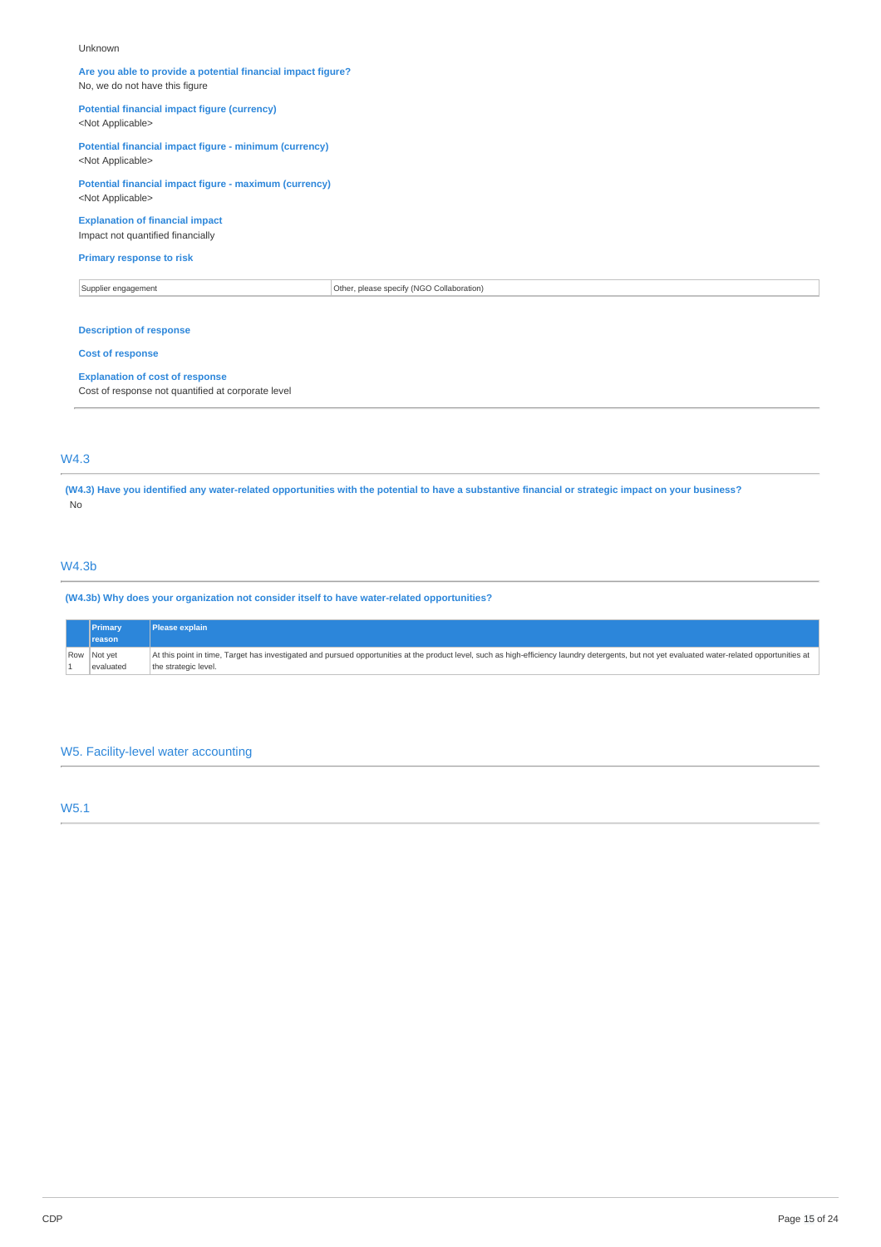#### Unknown

## **Are you able to provide a potential financial impact figure?**  No, we do not have this figure

**Potential financial impact figure (currency)** 

# <Not Applicable>

**Potential financial impact figure - minimum (currency)**  <Not Applicable>

# **Potential financial impact figure - maximum (currency)**  <Not Applicable>

# **Explanation of financial impact**

Impact not quantified financially

## **Primary response to risk**

Supplier engagement Collaboration Collaboration Collaboration Collaboration Collaboration

# **Description of response**

## **Cost of response**

#### **Explanation of cost of response**

Cost of response not quantified at corporate level

# W4.3

**(W4.3) Have you identified any water-related opportunities with the potential to have a substantive financial or strategic impact on your business?**  No

# W4.3b

**(W4.3b) Why does your organization not consider itself to have water-related opportunities?** 

| Primary<br><b>reason</b> | Please explain                                                                                                                                                                                                                 |
|--------------------------|--------------------------------------------------------------------------------------------------------------------------------------------------------------------------------------------------------------------------------|
| Row Not yet              | At this point in time, Target has investigated and pursued opportunities at the product level, such as high-efficiency laundry detergents, but not yet evaluated water-related opportunities at least of the product level, su |
| evaluated                | the strategic level.                                                                                                                                                                                                           |

# W5. Facility-level water accounting

# W5.1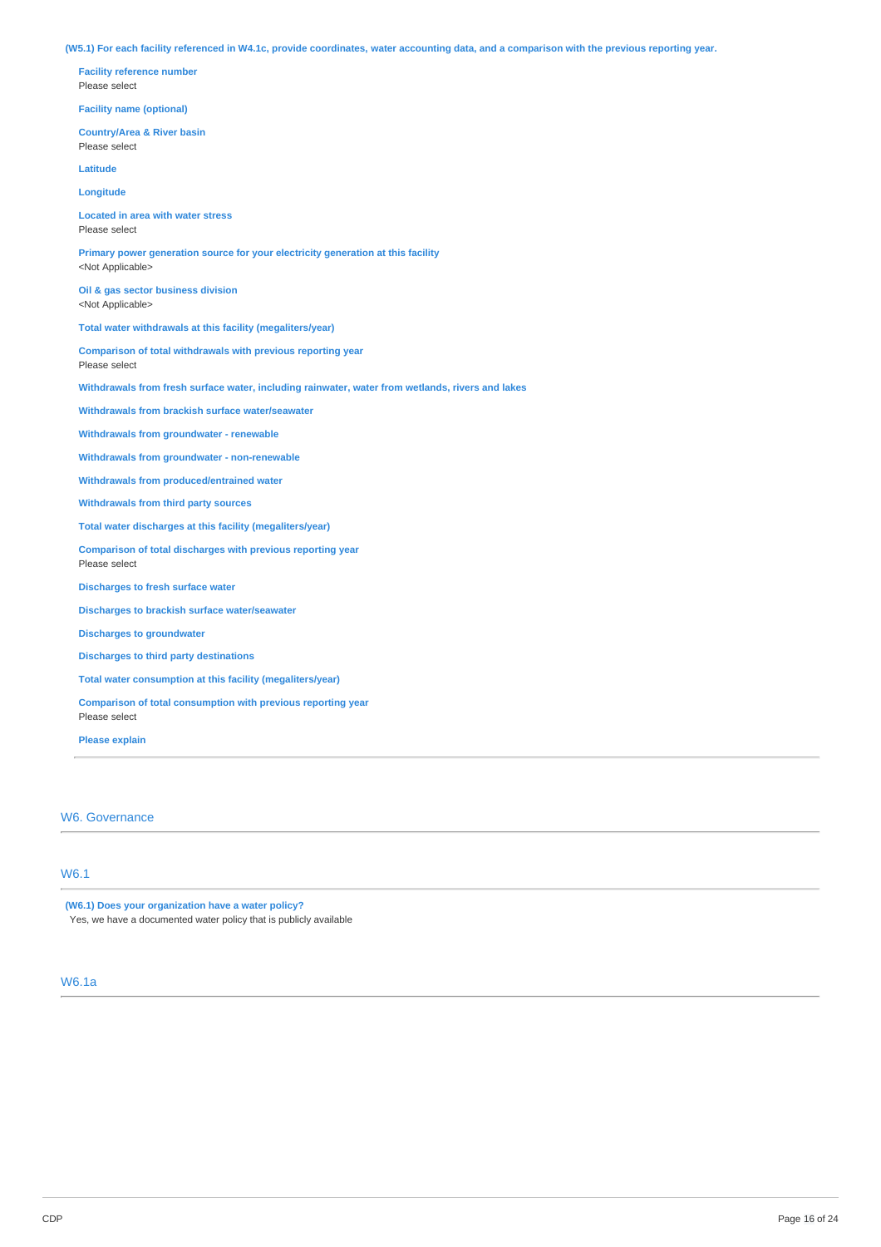**(W5.1) For each facility referenced in W4.1c, provide coordinates, water accounting data, and a comparison with the previous reporting year.** 

**Facility reference number**  Please select **Facility name (optional) Country/Area & River basin**  Please select **Latitude Longitude Located in area with water stress**  Please select **Primary power generation source for your electricity generation at this facility**  <Not Applicable> **Oil & gas sector business division**  <Not Applicable> **Total water withdrawals at this facility (megaliters/year) Comparison of total withdrawals with previous reporting year**  Please select **Withdrawals from fresh surface water, including rainwater, water from wetlands, rivers and lakes Withdrawals from brackish surface water/seawater Withdrawals from groundwater - renewable Withdrawals from groundwater - non-renewable Withdrawals from produced/entrained water Withdrawals from third party sources Total water discharges at this facility (megaliters/year) Comparison of total discharges with previous reporting year**  Please select **Discharges to fresh surface water Discharges to brackish surface water/seawater Discharges to groundwater Discharges to third party destinations Total water consumption at this facility (megaliters/year) Comparison of total consumption with previous reporting year**  Please select

**Please explain** 

W6. Governance

# W6.1

**(W6.1) Does your organization have a water policy?** 

Yes, we have a documented water policy that is publicly available

# W6.1a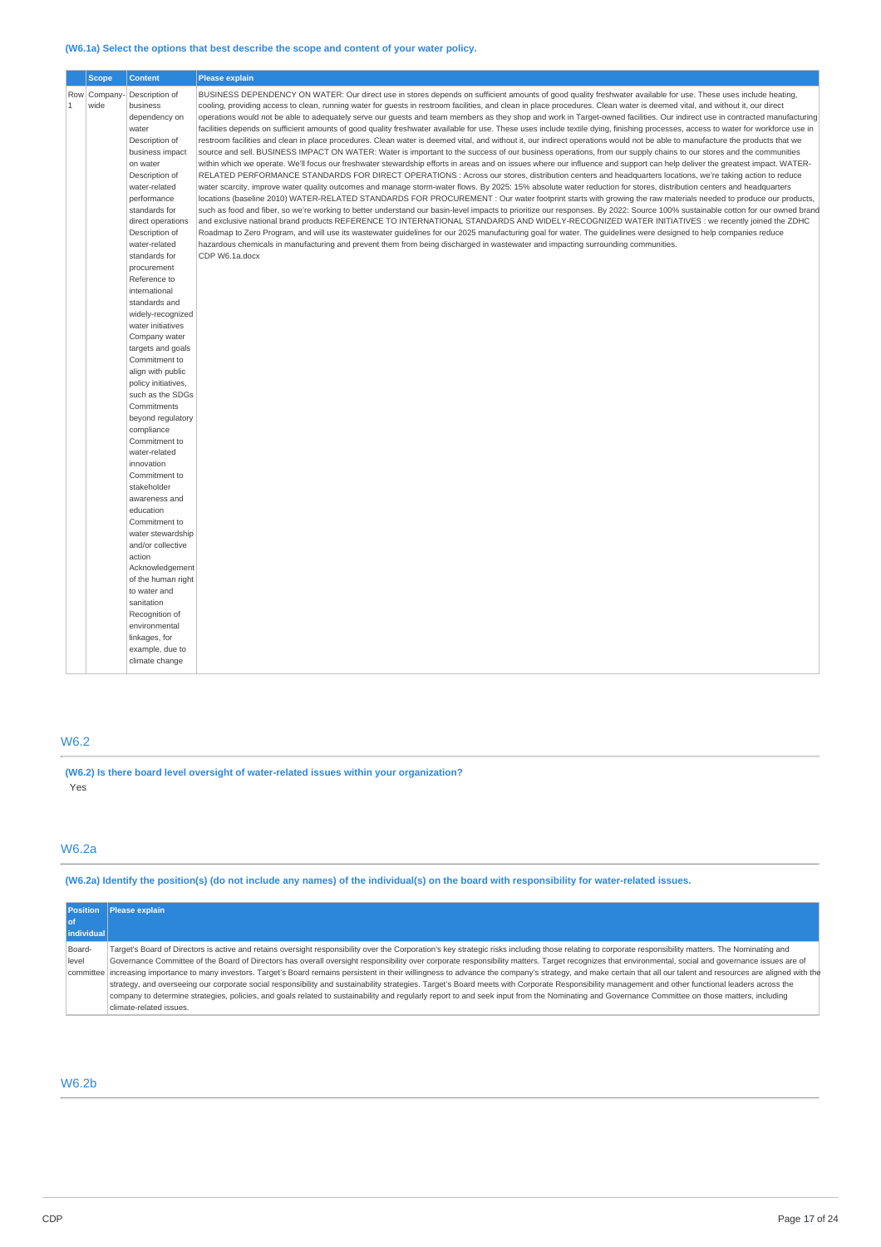## **(W6.1a) Select the options that best describe the scope and content of your water policy.**

|              | <b>Scope</b>   | <b>Content</b>                        | <b>Please explain</b>                                                                                                                                                              |
|--------------|----------------|---------------------------------------|------------------------------------------------------------------------------------------------------------------------------------------------------------------------------------|
|              | Row   Company- | Description of                        | BUSINESS DEPENDENCY ON WATER: Our direct use in stores depends on sufficient amounts of good quality freshwater available for use. These uses include heating,                     |
| $\mathbf{1}$ | wide           | business                              | cooling, providing access to clean, running water for guests in restroom facilities, and clean in place procedures. Clean water is deemed vital, and without it, our direct        |
|              |                | dependency on                         | operations would not be able to adequately serve our guests and team members as they shop and work in Target-owned facilities. Our indirect use in contracted manufacturing        |
|              |                | water                                 | facilities depends on sufficient amounts of good quality freshwater available for use. These uses include textile dying, finishing processes, access to water for workforce use in |
|              |                | Description of                        | restroom facilities and clean in place procedures. Clean water is deemed vital, and without it, our indirect operations would not be able to manufacture the products that we      |
|              |                | business impact                       | source and sell. BUSINESS IMPACT ON WATER: Water is important to the success of our business operations, from our supply chains to our stores and the communities                  |
|              |                | on water                              | within which we operate. We'll focus our freshwater stewardship efforts in areas and on issues where our influence and support can help deliver the greatest impact. WATER-        |
|              |                | Description of                        | RELATED PERFORMANCE STANDARDS FOR DIRECT OPERATIONS: Across our stores, distribution centers and headquarters locations, we're taking action to reduce                             |
|              |                | water-related                         | water scarcity, improve water quality outcomes and manage storm-water flows. By 2025: 15% absolute water reduction for stores, distribution centers and headquarters               |
|              |                | performance                           | locations (baseline 2010) WATER-RELATED STANDARDS FOR PROCUREMENT : Our water footprint starts with growing the raw materials needed to produce our products,                      |
|              |                | standards for                         | such as food and fiber, so we're working to better understand our basin-level impacts to prioritize our responses. By 2022: Source 100% sustainable cotton for our owned brand     |
|              |                | direct operations                     | and exclusive national brand products REFERENCE TO INTERNATIONAL STANDARDS AND WIDELY-RECOGNIZED WATER INITIATIVES: we recently joined the ZDHC                                    |
|              |                | Description of                        | Roadmap to Zero Program, and will use its wastewater guidelines for our 2025 manufacturing goal for water. The guidelines were designed to help companies reduce                   |
|              |                | water-related<br>standards for        | hazardous chemicals in manufacturing and prevent them from being discharged in wastewater and impacting surrounding communities.<br>CDP W6.1a.docx                                 |
|              |                | procurement                           |                                                                                                                                                                                    |
|              |                | Reference to                          |                                                                                                                                                                                    |
|              |                | international                         |                                                                                                                                                                                    |
|              |                | standards and                         |                                                                                                                                                                                    |
|              |                | widely-recognized                     |                                                                                                                                                                                    |
|              |                | water initiatives                     |                                                                                                                                                                                    |
|              |                | Company water                         |                                                                                                                                                                                    |
|              |                | targets and goals                     |                                                                                                                                                                                    |
|              |                | Commitment to                         |                                                                                                                                                                                    |
|              |                | align with public                     |                                                                                                                                                                                    |
|              |                | policy initiatives,                   |                                                                                                                                                                                    |
|              |                | such as the SDGs                      |                                                                                                                                                                                    |
|              |                | Commitments                           |                                                                                                                                                                                    |
|              |                | beyond regulatory                     |                                                                                                                                                                                    |
|              |                | compliance                            |                                                                                                                                                                                    |
|              |                | Commitment to                         |                                                                                                                                                                                    |
|              |                | water-related                         |                                                                                                                                                                                    |
|              |                | innovation                            |                                                                                                                                                                                    |
|              |                | Commitment to                         |                                                                                                                                                                                    |
|              |                | stakeholder                           |                                                                                                                                                                                    |
|              |                | awareness and                         |                                                                                                                                                                                    |
|              |                | education                             |                                                                                                                                                                                    |
|              |                | Commitment to                         |                                                                                                                                                                                    |
|              |                | water stewardship                     |                                                                                                                                                                                    |
|              |                | and/or collective                     |                                                                                                                                                                                    |
|              |                | action                                |                                                                                                                                                                                    |
|              |                | Acknowledgement<br>of the human right |                                                                                                                                                                                    |
|              |                | to water and                          |                                                                                                                                                                                    |
|              |                | sanitation                            |                                                                                                                                                                                    |
|              |                | Recognition of                        |                                                                                                                                                                                    |
|              |                | environmental                         |                                                                                                                                                                                    |
|              |                | linkages, for                         |                                                                                                                                                                                    |
|              |                | example, due to                       |                                                                                                                                                                                    |
|              |                | climate change                        |                                                                                                                                                                                    |
|              |                |                                       |                                                                                                                                                                                    |

# W6.2

**(W6.2) Is there board level oversight of water-related issues within your organization?**  Yes

# W6.2a

**(W6.2a) Identify the position(s) (do not include any names) of the individual(s) on the board with responsibility for water-related issues.** 

|                 | <b>Position</b> Please explain                                                                                                                                                                                                                                                                                                                                                                                 |
|-----------------|----------------------------------------------------------------------------------------------------------------------------------------------------------------------------------------------------------------------------------------------------------------------------------------------------------------------------------------------------------------------------------------------------------------|
| l of            |                                                                                                                                                                                                                                                                                                                                                                                                                |
| individual      |                                                                                                                                                                                                                                                                                                                                                                                                                |
| Board-<br>level | Target's Board of Directors is active and retains oversight responsibility over the Corporation's key strategic risks including those relating to corporate responsibility matters. The Nominating and<br>Governance Committee of the Board of Directors has overall oversight responsibility over corporate responsibility matters. Target recognizes that environmental, social and governance issues are of |
|                 | committee increasing importance to many investors. Target's Board remains persistent in their willingness to advance the company's strategy, and make certain that all our talent and resources are aligned with the                                                                                                                                                                                           |
|                 | strategy, and overseeing our corporate social responsibility and sustainability strategies. Target's Board meets with Corporate Responsibility management and other functional leaders across the                                                                                                                                                                                                              |
|                 | company to determine strategies, policies, and goals related to sustainability and regularly report to and seek input from the Nominating and Governance Committee on those matters, including                                                                                                                                                                                                                 |
|                 | climate-related issues.                                                                                                                                                                                                                                                                                                                                                                                        |

# W6.2b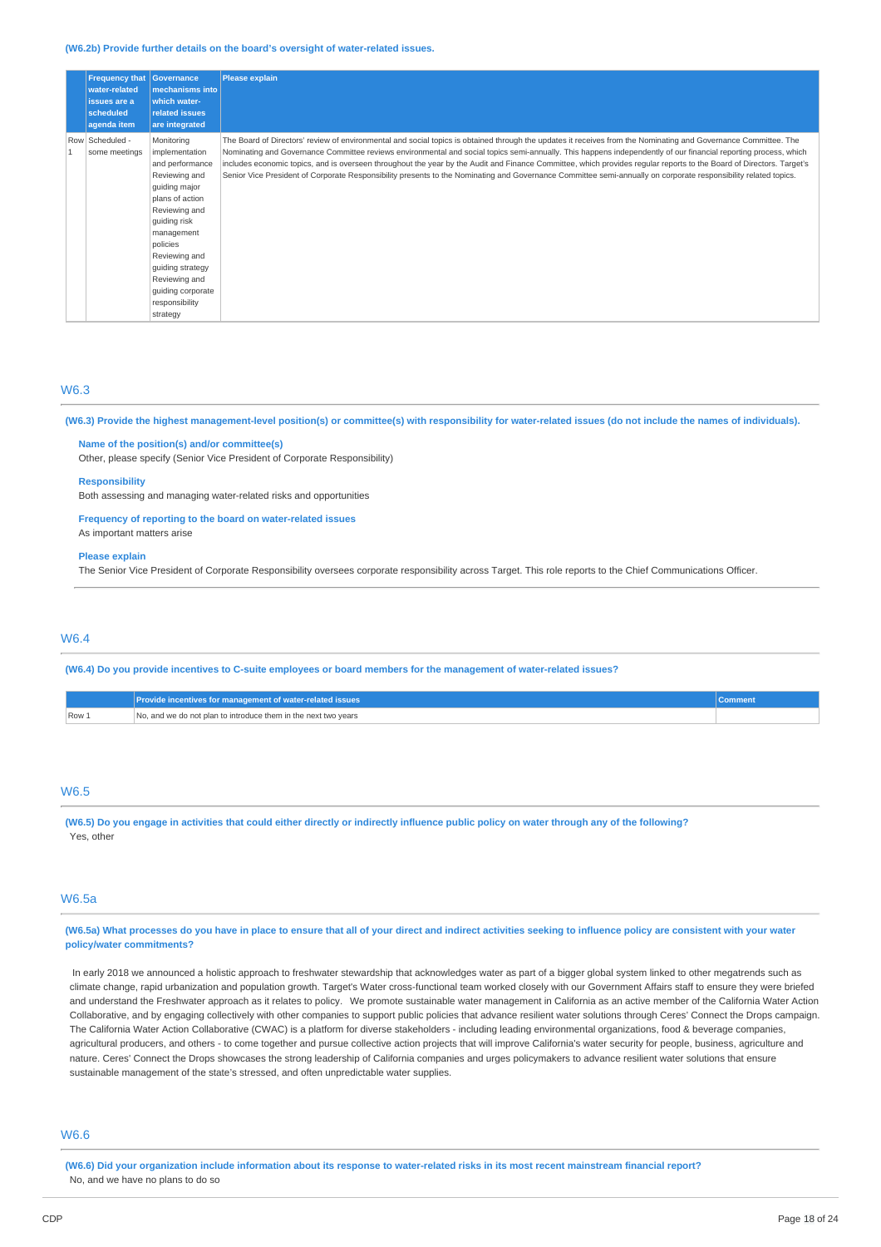#### **(W6.2b) Provide further details on the board's oversight of water-related issues.**

| <b>Frequency that</b><br>water-related<br>issues are a<br>scheduled<br>agenda item | Governance<br>mechanisms into<br>which water-<br><b>related issues</b><br>are integrated                                                                                                                                                                                 | <b>Please explain</b>                                                                                                                                                                                                                                                                                                                                                                                                                                                                                                                                                                                                                                                         |
|------------------------------------------------------------------------------------|--------------------------------------------------------------------------------------------------------------------------------------------------------------------------------------------------------------------------------------------------------------------------|-------------------------------------------------------------------------------------------------------------------------------------------------------------------------------------------------------------------------------------------------------------------------------------------------------------------------------------------------------------------------------------------------------------------------------------------------------------------------------------------------------------------------------------------------------------------------------------------------------------------------------------------------------------------------------|
| Row Scheduled -<br>some meetings                                                   | Monitoring<br>implementation<br>and performance<br>Reviewing and<br>guiding major<br>plans of action<br>Reviewing and<br>guiding risk<br>management<br>policies<br>Reviewing and<br>guiding strategy<br>Reviewing and<br>guiding corporate<br>responsibility<br>strategy | The Board of Directors' review of environmental and social topics is obtained through the updates it receives from the Nominating and Governance Committee. The<br>Nominating and Governance Committee reviews environmental and social topics semi-annually. This happens independently of our financial reporting process, which<br>includes economic topics, and is overseen throughout the year by the Audit and Finance Committee, which provides regular reports to the Board of Directors. Target's<br>Senior Vice President of Corporate Responsibility presents to the Nominating and Governance Committee semi-annually on corporate responsibility related topics. |

## W6.3

**(W6.3) Provide the highest management-level position(s) or committee(s) with responsibility for water-related issues (do not include the names of individuals).** 

## **Name of the position(s) and/or committee(s)**

Other, please specify (Senior Vice President of Corporate Responsibility)

## **Responsibility**

Both assessing and managing water-related risks and opportunities

## **Frequency of reporting to the board on water-related issues**

As important matters arise

## **Please explain**

The Senior Vice President of Corporate Responsibility oversees corporate responsibility across Target. This role reports to the Chief Communications Officer.

## W6.4

**(W6.4) Do you provide incentives to C-suite employees or board members for the management of water-related issues?** 

|       | Provide incentives for management of water-related issues'     |  |
|-------|----------------------------------------------------------------|--|
| Row 1 | No, and we do not plan to introduce them in the next two years |  |

## W6.5

**(W6.5) Do you engage in activities that could either directly or indirectly influence public policy on water through any of the following?**  Yes, other

# W6.5a

**(W6.5a) What processes do you have in place to ensure that all of your direct and indirect activities seeking to influence policy are consistent with your water policy/water commitments?** 

In early 2018 we announced a holistic approach to freshwater stewardship that acknowledges water as part of a bigger global system linked to other megatrends such as climate change, rapid urbanization and population growth. Target's Water cross-functional team worked closely with our Government Affairs staff to ensure they were briefed and understand the Freshwater approach as it relates to policy. We promote sustainable water management in California as an active member of the California Water Action Collaborative, and by engaging collectively with other companies to support public policies that advance resilient water solutions through Ceres' Connect the Drops campaign. The California Water Action Collaborative (CWAC) is a platform for diverse stakeholders - including leading environmental organizations, food & beverage companies, agricultural producers, and others - to come together and pursue collective action projects that will improve California's water security for people, business, agriculture and nature. Ceres' Connect the Drops showcases the strong leadership of California companies and urges policymakers to advance resilient water solutions that ensure sustainable management of the state's stressed, and often unpredictable water supplies.

## W6.6

**(W6.6) Did your organization include information about its response to water-related risks in its most recent mainstream financial report?**  No, and we have no plans to do so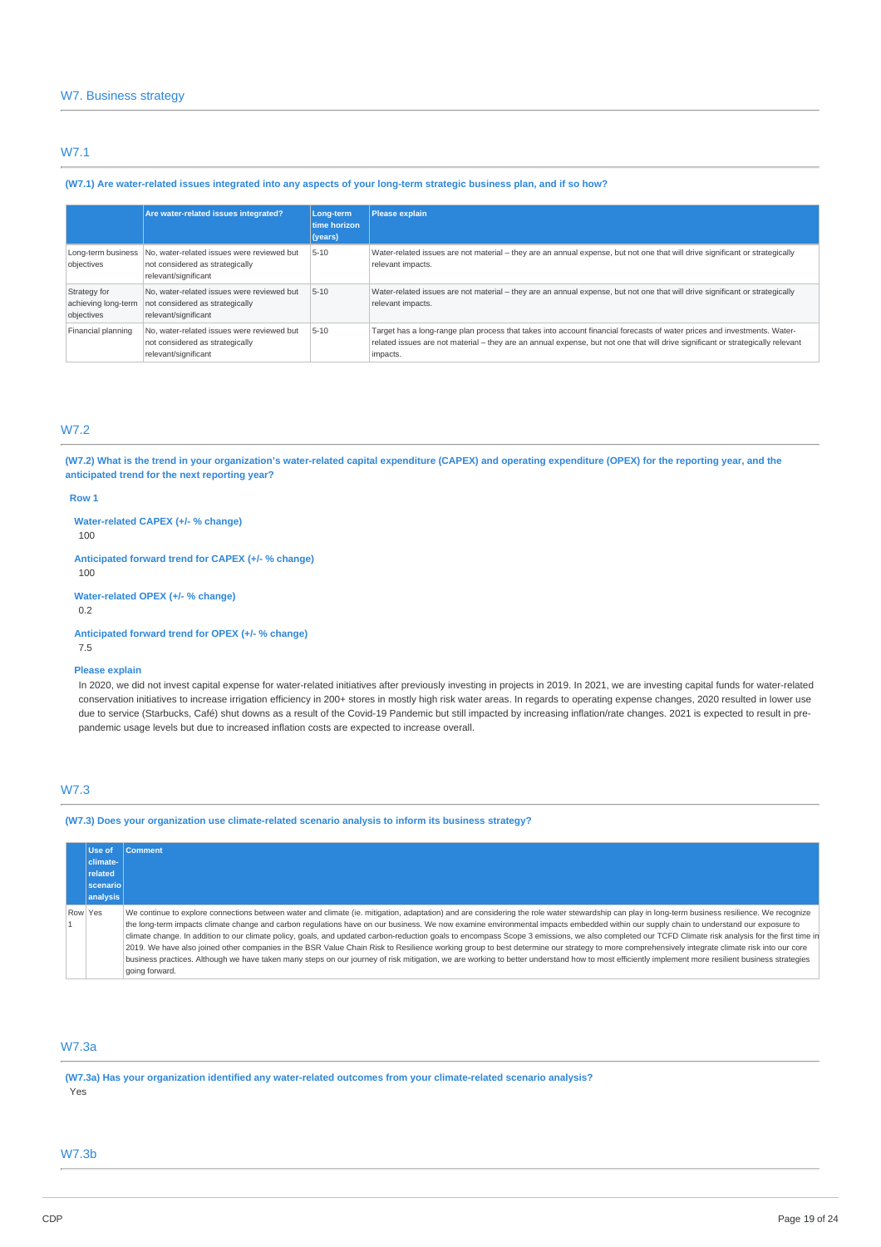# W7.1

## **(W7.1) Are water-related issues integrated into any aspects of your long-term strategic business plan, and if so how?**

|                                                   | Are water-related issues integrated?                                                                  | Long-term<br>time horizon<br>(years) | <b>Please explain</b>                                                                                                                                                                                                                                                   |
|---------------------------------------------------|-------------------------------------------------------------------------------------------------------|--------------------------------------|-------------------------------------------------------------------------------------------------------------------------------------------------------------------------------------------------------------------------------------------------------------------------|
| Long-term business<br>objectives                  | No, water-related issues were reviewed but<br>not considered as strategically<br>relevant/significant | $5 - 10$                             | Water-related issues are not material – they are an annual expense, but not one that will drive significant or strategically<br>relevant impacts.                                                                                                                       |
| Strategy for<br>achieving long-term<br>objectives | No, water-related issues were reviewed but<br>not considered as strategically<br>relevant/significant | $5 - 10$                             | Water-related issues are not material – they are an annual expense, but not one that will drive significant or strategically<br>relevant impacts.                                                                                                                       |
| Financial planning                                | No, water-related issues were reviewed but<br>not considered as strategically<br>relevant/significant | $5 - 10$                             | Target has a long-range plan process that takes into account financial forecasts of water prices and investments. Water-<br>related issues are not material - they are an annual expense, but not one that will drive significant or strategically relevant<br>impacts. |

# W7.2

**(W7.2) What is the trend in your organization's water-related capital expenditure (CAPEX) and operating expenditure (OPEX) for the reporting year, and the anticipated trend for the next reporting year?** 

## **Row 1**

**Water-related CAPEX (+/- % change)**  100

**Anticipated forward trend for CAPEX (+/- % change)**  100

**Water-related OPEX (+/- % change)** 

0.2

**Anticipated forward trend for OPEX (+/- % change)**  7.5

## **Please explain**

In 2020, we did not invest capital expense for water-related initiatives after previously investing in projects in 2019. In 2021, we are investing capital funds for water-related conservation initiatives to increase irrigation efficiency in 200+ stores in mostly high risk water areas. In regards to operating expense changes, 2020 resulted in lower use due to service (Starbucks, Café) shut downs as a result of the Covid-19 Pandemic but still impacted by increasing inflation/rate changes. 2021 is expected to result in prepandemic usage levels but due to increased inflation costs are expected to increase overall.

# W7.3

**(W7.3) Does your organization use climate-related scenario analysis to inform its business strategy?** 

|         | Use of<br>climate-<br>related<br>scenario<br>analysis | <b>Comment</b>                                                                                                                                                                                                                                                                                                                                                                                                                                                                                                                                                                                                                                                                                                                                                                                                                                                                                                                                                                                                           |
|---------|-------------------------------------------------------|--------------------------------------------------------------------------------------------------------------------------------------------------------------------------------------------------------------------------------------------------------------------------------------------------------------------------------------------------------------------------------------------------------------------------------------------------------------------------------------------------------------------------------------------------------------------------------------------------------------------------------------------------------------------------------------------------------------------------------------------------------------------------------------------------------------------------------------------------------------------------------------------------------------------------------------------------------------------------------------------------------------------------|
| Row Yes |                                                       | We continue to explore connections between water and climate (ie. mitigation, adaptation) and are considering the role water stewardship can play in long-term business resilience. We recognize<br>the long-term impacts climate change and carbon regulations have on our business. We now examine environmental impacts embedded within our supply chain to understand our exposure to<br>climate change. In addition to our climate policy, goals, and updated carbon-reduction goals to encompass Scope 3 emissions, we also completed our TCFD Climate risk analysis for the first time in<br>2019. We have also joined other companies in the BSR Value Chain Risk to Resilience working group to best determine our strategy to more comprehensively integrate climate risk into our core<br>business practices. Although we have taken many steps on our journey of risk mitigation, we are working to better understand how to most efficiently implement more resilient business strategies<br>going forward. |

# W7.3a

**(W7.3a) Has your organization identified any water-related outcomes from your climate-related scenario analysis?**  Yes

# W7.3b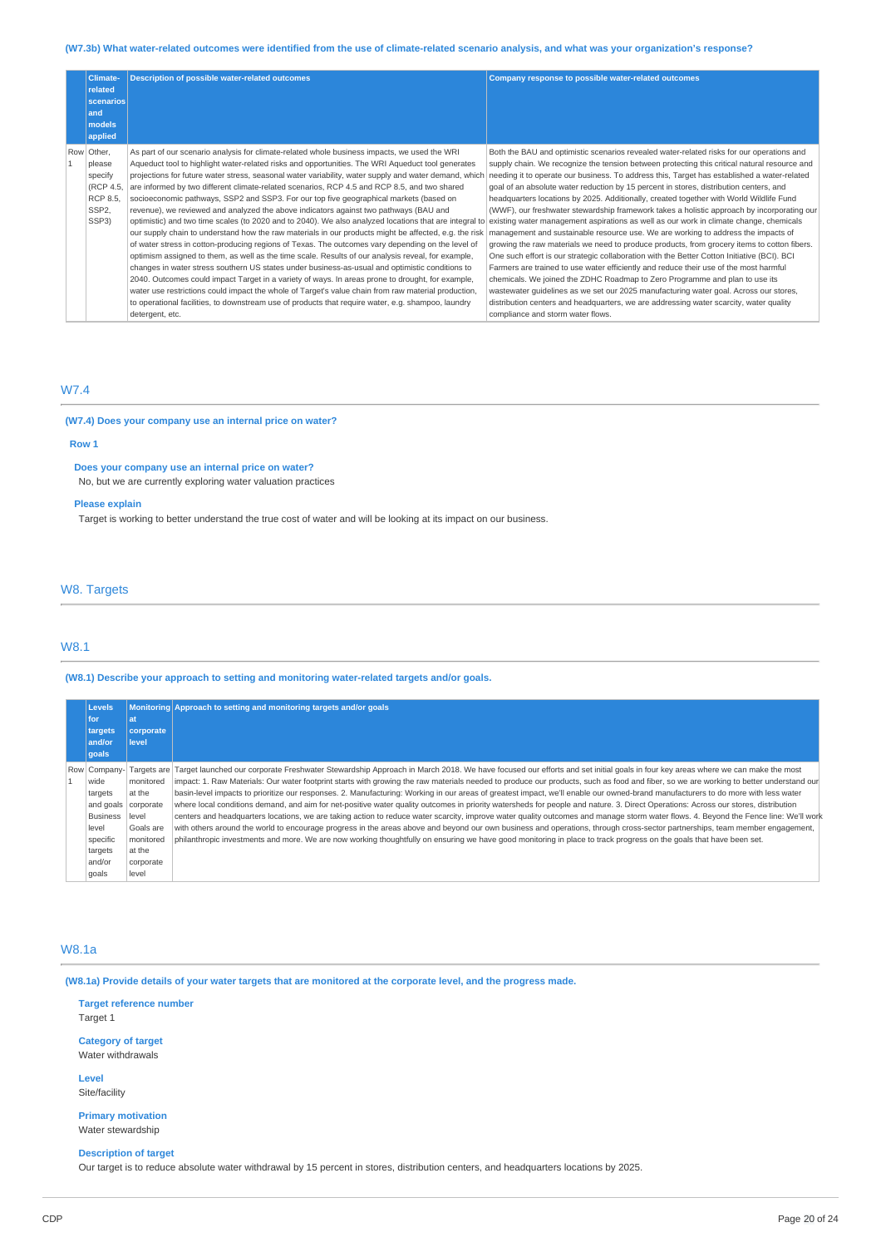## **(W7.3b) What water-related outcomes were identified from the use of climate-related scenario analysis, and what was your organization's response?**

| Climate-<br>related<br>scenarios<br>and<br>models<br>applied                          | <b>Description of possible water-related outcomes</b>                                                                                                                                                                                                                                                                                                                                                                                                                                                                                                                                                                                                                                                                                                                                                                                                                                                                                                                                                                                                                                                                                                                                                                                                                                                                                                                                                                                                                                                                                                  | Company response to possible water-related outcomes                                                                                                                                                                                                                                                                                                                                                                                                                                                                                                                                                                                                                                                                                                                                                                                                                                                                                                                                                                                                                                                                                                                                                                                                                 |
|---------------------------------------------------------------------------------------|--------------------------------------------------------------------------------------------------------------------------------------------------------------------------------------------------------------------------------------------------------------------------------------------------------------------------------------------------------------------------------------------------------------------------------------------------------------------------------------------------------------------------------------------------------------------------------------------------------------------------------------------------------------------------------------------------------------------------------------------------------------------------------------------------------------------------------------------------------------------------------------------------------------------------------------------------------------------------------------------------------------------------------------------------------------------------------------------------------------------------------------------------------------------------------------------------------------------------------------------------------------------------------------------------------------------------------------------------------------------------------------------------------------------------------------------------------------------------------------------------------------------------------------------------------|---------------------------------------------------------------------------------------------------------------------------------------------------------------------------------------------------------------------------------------------------------------------------------------------------------------------------------------------------------------------------------------------------------------------------------------------------------------------------------------------------------------------------------------------------------------------------------------------------------------------------------------------------------------------------------------------------------------------------------------------------------------------------------------------------------------------------------------------------------------------------------------------------------------------------------------------------------------------------------------------------------------------------------------------------------------------------------------------------------------------------------------------------------------------------------------------------------------------------------------------------------------------|
| Row Other,<br>please<br>specify<br>(RCP 4.5,<br>RCP 8.5.<br>SSP <sub>2</sub><br>SSP3) | As part of our scenario analysis for climate-related whole business impacts, we used the WRI<br>Aqueduct tool to highlight water-related risks and opportunities. The WRI Aqueduct tool generates<br>projections for future water stress, seasonal water variability, water supply and water demand, which<br>are informed by two different climate-related scenarios, RCP 4.5 and RCP 8.5, and two shared<br>socioeconomic pathways, SSP2 and SSP3. For our top five geographical markets (based on<br>revenue), we reviewed and analyzed the above indicators against two pathways (BAU and<br>optimistic) and two time scales (to 2020 and to 2040). We also analyzed locations that are integral to<br>our supply chain to understand how the raw materials in our products might be affected, e.g. the risk   management and sustainable resource use. We are working to address the impacts of<br>of water stress in cotton-producing regions of Texas. The outcomes vary depending on the level of<br>optimism assigned to them, as well as the time scale. Results of our analysis reveal, for example,<br>changes in water stress southern US states under business-as-usual and optimistic conditions to<br>2040. Outcomes could impact Target in a variety of ways. In areas prone to drought, for example,<br>water use restrictions could impact the whole of Target's value chain from raw material production,<br>to operational facilities, to downstream use of products that require water, e.g. shampoo, laundry<br>detergent, etc. | Both the BAU and optimistic scenarios revealed water-related risks for our operations and<br>supply chain. We recognize the tension between protecting this critical natural resource and<br>needing it to operate our business. To address this, Target has established a water-related<br>goal of an absolute water reduction by 15 percent in stores, distribution centers, and<br>headquarters locations by 2025. Additionally, created together with World Wildlife Fund<br>(WWF), our freshwater stewardship framework takes a holistic approach by incorporating our<br>existing water management aspirations as well as our work in climate change, chemicals<br>growing the raw materials we need to produce products, from grocery items to cotton fibers.<br>One such effort is our strategic collaboration with the Better Cotton Initiative (BCI). BCI<br>Farmers are trained to use water efficiently and reduce their use of the most harmful<br>chemicals. We joined the ZDHC Roadmap to Zero Programme and plan to use its<br>wastewater quidelines as we set our 2025 manufacturing water goal. Across our stores,<br>distribution centers and headquarters, we are addressing water scarcity, water quality<br>compliance and storm water flows. |

# W7.4

## **(W7.4) Does your company use an internal price on water?**

## **Row 1**

# **Does your company use an internal price on water?**

No, but we are currently exploring water valuation practices

# **Please explain**

Target is working to better understand the true cost of water and will be looking at its impact on our business.

## W8. Targets

# W8.1

**(W8.1) Describe your approach to setting and monitoring water-related targets and/or goals.** 

| <b>Levels</b>     |                    | Monitoring Approach to setting and monitoring targets and/or goals                                                                                                                       |  |
|-------------------|--------------------|------------------------------------------------------------------------------------------------------------------------------------------------------------------------------------------|--|
| for               | lat                |                                                                                                                                                                                          |  |
| targets<br>and/or | corporate<br>level |                                                                                                                                                                                          |  |
| qoals             |                    |                                                                                                                                                                                          |  |
| Row Company-      |                    | Targets are  Target launched our corporate Freshwater Stewardship Approach in March 2018. We have focused our efforts and set initial goals in four key areas where we can make the most |  |
| wide              | monitored          | impact: 1. Raw Materials: Our water footprint starts with growing the raw materials needed to produce our products, such as food and fiber, so we are working to better understand our   |  |
| targets           | at the             | basin-level impacts to prioritize our responses. 2. Manufacturing: Working in our areas of greatest impact, we'll enable our owned-brand manufacturers to do more with less water        |  |
| and goals         | corporate          | where local conditions demand, and aim for net-positive water quality outcomes in priority watersheds for people and nature. 3. Direct Operations: Across our stores, distribution       |  |
| <b>Business</b>   | level              | centers and headquarters locations, we are taking action to reduce water scarcity, improve water quality outcomes and manage storm water flows. 4. Beyond the Fence line: We'll work     |  |
| level             | Goals are          | with others around the world to encourage progress in the areas above and beyond our own business and operations, through cross-sector partnerships, team member engagement,             |  |
| specific          | monitored          | philanthropic investments and more. We are now working thoughtfully on ensuring we have good monitoring in place to track progress on the goals that have been set.                      |  |
| targets           | at the             |                                                                                                                                                                                          |  |
| and/or            | corporate          |                                                                                                                                                                                          |  |
| goals             | level              |                                                                                                                                                                                          |  |

# W8.1a

**(W8.1a) Provide details of your water targets that are monitored at the corporate level, and the progress made.** 

**Target reference number**  Target 1

**Category of target**  Water withdrawals

**Level**  Site/facility

**Primary motivation**  Water stewardship

## **Description of target**

Our target is to reduce absolute water withdrawal by 15 percent in stores, distribution centers, and headquarters locations by 2025.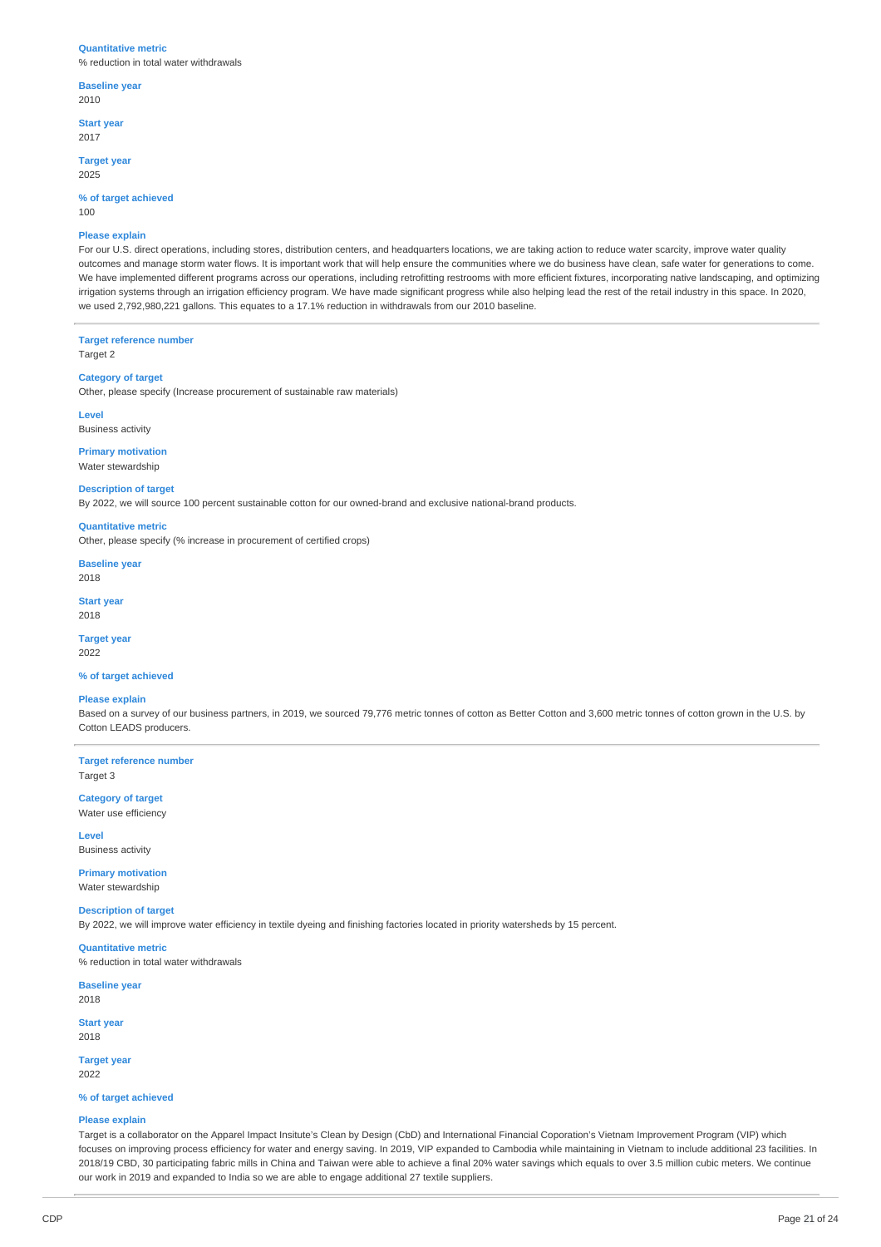#### **Quantitative metric**

% reduction in total water withdrawals

### **Baseline year**  2010

**Start year** 

2017

**Target year**  2025

## **% of target achieved**

100

### **Please explain**

For our U.S. direct operations, including stores, distribution centers, and headquarters locations, we are taking action to reduce water scarcity, improve water quality outcomes and manage storm water flows. It is important work that will help ensure the communities where we do business have clean, safe water for generations to come. We have implemented different programs across our operations, including retrofitting restrooms with more efficient fixtures, incorporating native landscaping, and optimizing irrigation systems through an irrigation efficiency program. We have made significant progress while also helping lead the rest of the retail industry in this space. In 2020, we used 2,792,980,221 gallons. This equates to a 17.1% reduction in withdrawals from our 2010 baseline.

## **Target reference number**

Target 2

## **Category of target**

Other, please specify (Increase procurement of sustainable raw materials)

**Level** 

# Business activity

**Primary motivation**  Water stewardship

**Description of target**  By 2022, we will source 100 percent sustainable cotton for our owned-brand and exclusive national-brand products.

### **Quantitative metric**

Other, please specify (% increase in procurement of certified crops)

## **Baseline year**

2018

**Start year**  2018

# **Target year**

2022

## **% of target achieved**

## **Please explain**

Based on a survey of our business partners, in 2019, we sourced 79,776 metric tonnes of cotton as Better Cotton and 3,600 metric tonnes of cotton grown in the U.S. by Cotton LEADS producers.

**Target reference number**  Target 3

**Category of target**  Water use efficiency

**Level**  Business activity

# **Primary motivation**

Water stewardship

# **Description of target**

By 2022, we will improve water efficiency in textile dyeing and finishing factories located in priority watersheds by 15 percent.

# **Quantitative metric**

% reduction in total water withdrawals

**Baseline year**  2018

**Start year**  2018

# **Target year**  2022

# **% of target achieved**

## **Please explain**

Target is a collaborator on the Apparel Impact Insitute's Clean by Design (CbD) and International Financial Coporation's Vietnam Improvement Program (VIP) which focuses on improving process efficiency for water and energy saving. In 2019, VIP expanded to Cambodia while maintaining in Vietnam to include additional 23 facilities. In 2018/19 CBD, 30 participating fabric mills in China and Taiwan were able to achieve a final 20% water savings which equals to over 3.5 million cubic meters. We continue our work in 2019 and expanded to India so we are able to engage additional 27 textile suppliers.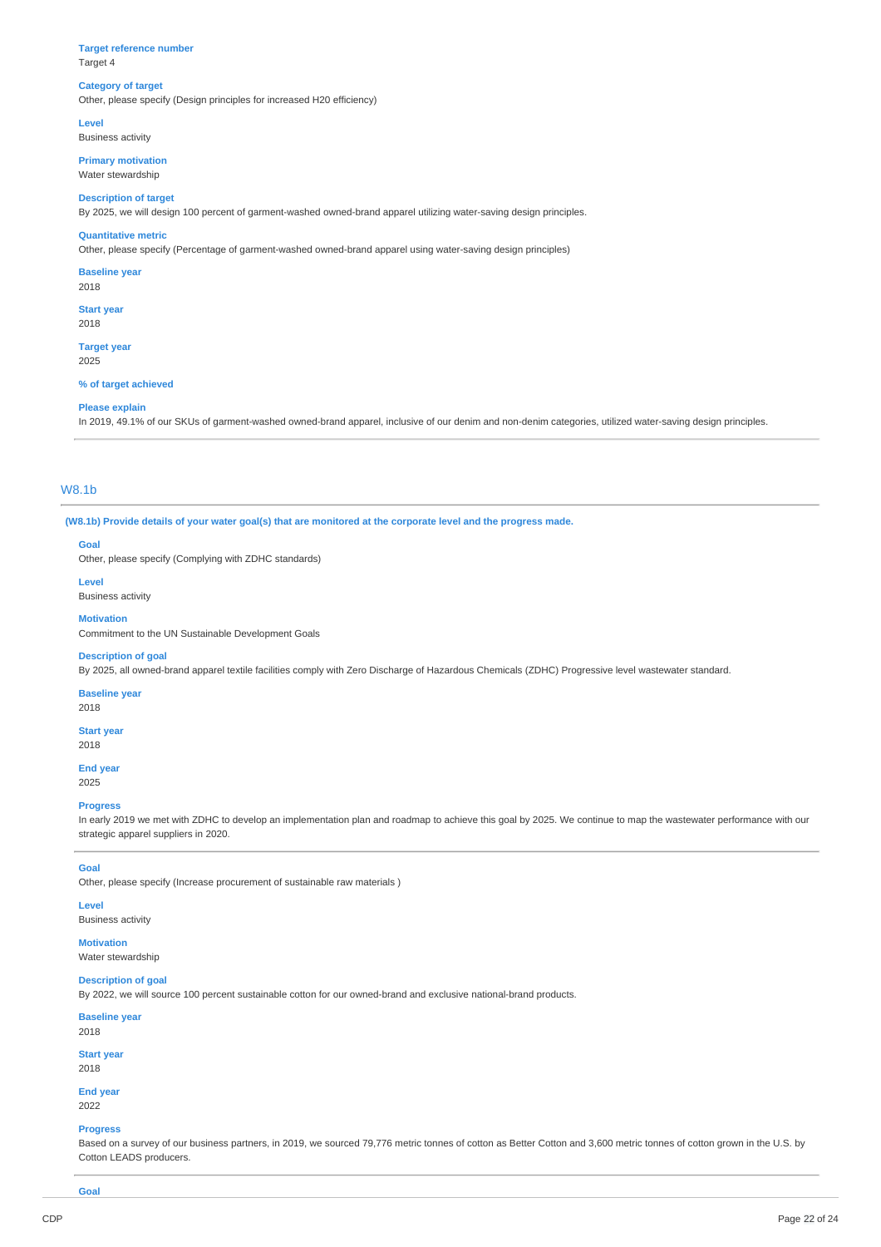### **Target reference number**  Target 4

# **Category of target**

Other, please specify (Design principles for increased H20 efficiency)

**Level** 

Business activity

**Primary motivation**  Water stewardship

## **Description of target**

By 2025, we will design 100 percent of garment-washed owned-brand apparel utilizing water-saving design principles.

### **Quantitative metric**

Other, please specify (Percentage of garment-washed owned-brand apparel using water-saving design principles)

**Baseline year** 

2018

**Start year**  2018

**Target year**  2025

#### **% of target achieved**

#### **Please explain**

In 2019, 49.1% of our SKUs of garment-washed owned-brand apparel, inclusive of our denim and non-denim categories, utilized water-saving design principles.

## W8.1b

**(W8.1b) Provide details of your water goal(s) that are monitored at the corporate level and the progress made.** 

## **Goal**

Other, please specify (Complying with ZDHC standards)

**Level** 

## Business activity

**Motivation** 

Commitment to the UN Sustainable Development Goals

## **Description of goal**

By 2025, all owned-brand apparel textile facilities comply with Zero Discharge of Hazardous Chemicals (ZDHC) Progressive level wastewater standard.

## **Baseline year**

2018

# **Start year**

2018

**End year**  2025

# **Progress**

In early 2019 we met with ZDHC to develop an implementation plan and roadmap to achieve this goal by 2025. We continue to map the wastewater performance with our strategic apparel suppliers in 2020.

## **Goal**

Other, please specify (Increase procurement of sustainable raw materials )

## **Level**

Business activity

**Motivation**  Water stewardship

# **Description of goal**

By 2022, we will source 100 percent sustainable cotton for our owned-brand and exclusive national-brand products.

**Baseline year**  2018

#### **Start year**

2018

**End year**  2022

## **Progress**

Based on a survey of our business partners, in 2019, we sourced 79,776 metric tonnes of cotton as Better Cotton and 3,600 metric tonnes of cotton grown in the U.S. by Cotton LEADS producers.

**Goal**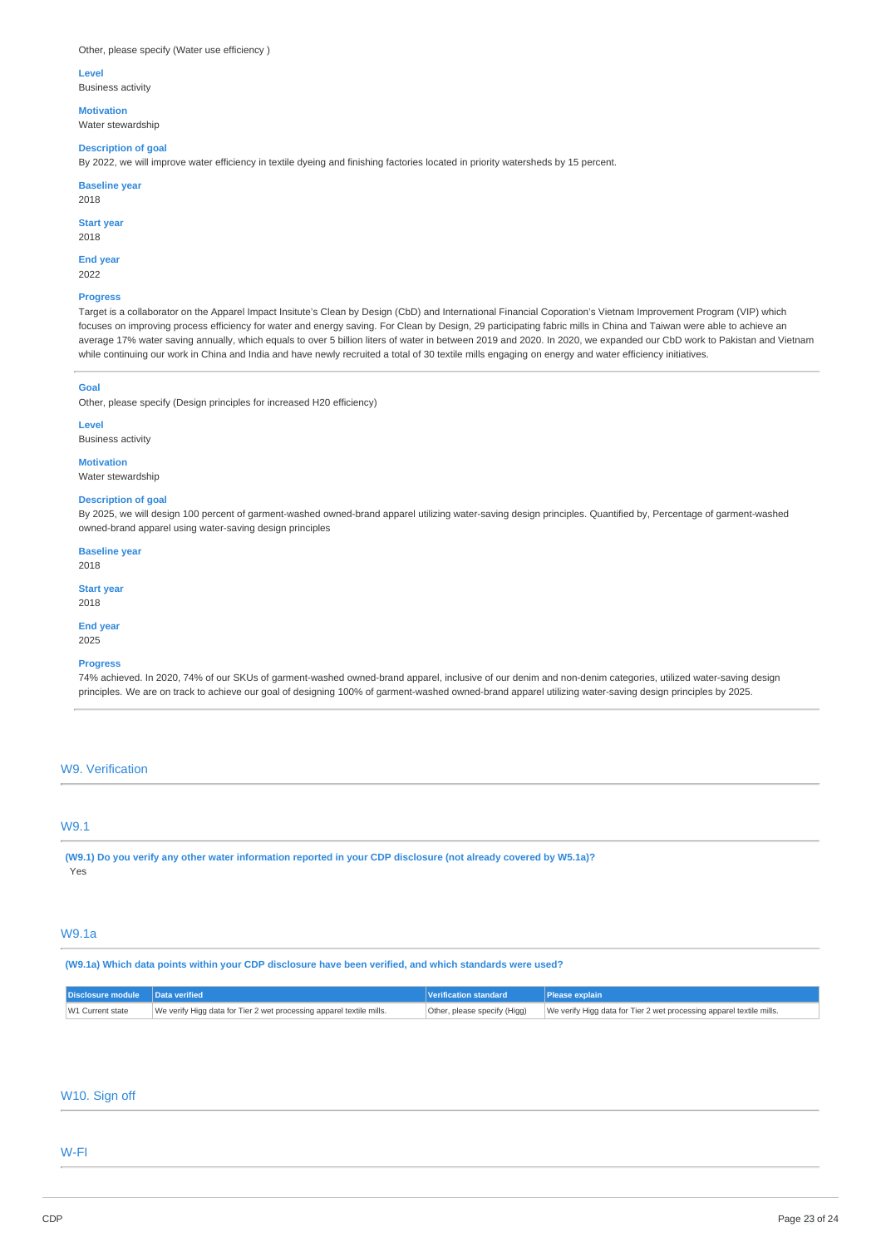#### **Level**

Business activity

**Motivation** 

# Water stewardship

**Description of goal** 

By 2022, we will improve water efficiency in textile dyeing and finishing factories located in priority watersheds by 15 percent.

#### **Baseline year**

2018

## **Start year**

2018

#### **End year**  2022

**Progress** 

Target is a collaborator on the Apparel Impact Insitute's Clean by Design (CbD) and International Financial Coporation's Vietnam Improvement Program (VIP) which focuses on improving process efficiency for water and energy saving. For Clean by Design, 29 participating fabric mills in China and Taiwan were able to achieve an average 17% water saving annually, which equals to over 5 billion liters of water in between 2019 and 2020. In 2020, we expanded our CbD work to Pakistan and Vietnam while continuing our work in China and India and have newly recruited a total of 30 textile mills engaging on energy and water efficiency initiatives.

#### **Goal**

Other, please specify (Design principles for increased H20 efficiency)

**Level** 

## Business activity

**Motivation** 

Water stewardship

## **Description of goal**

By 2025, we will design 100 percent of garment-washed owned-brand apparel utilizing water-saving design principles. Quantified by, Percentage of garment-washed owned-brand apparel using water-saving design principles

**Baseline year**  2018

**Start year** 

2018

**End year** 

# 2025

# **Progress**

74% achieved. In 2020, 74% of our SKUs of garment-washed owned-brand apparel, inclusive of our denim and non-denim categories, utilized water-saving design principles. We are on track to achieve our goal of designing 100% of garment-washed owned-brand apparel utilizing water-saving design principles by 2025.

# W9. Verification

# W9.1

**(W9.1) Do you verify any other water information reported in your CDP disclosure (not already covered by W5.1a)?**  Yes

# W9.1a

**(W9.1a) Which data points within your CDP disclosure have been verified, and which standards were used?** 

| Disclosure module Data verified |                                                                      | Verification standard        | <b>Please explain</b>                                                |
|---------------------------------|----------------------------------------------------------------------|------------------------------|----------------------------------------------------------------------|
| W1 Current state                | We verify Higg data for Tier 2 wet processing apparel textile mills. | Other, please specify (Higg) | We verify Higg data for Tier 2 wet processing apparel textile mills. |

## W10. Sign off

## W-FI